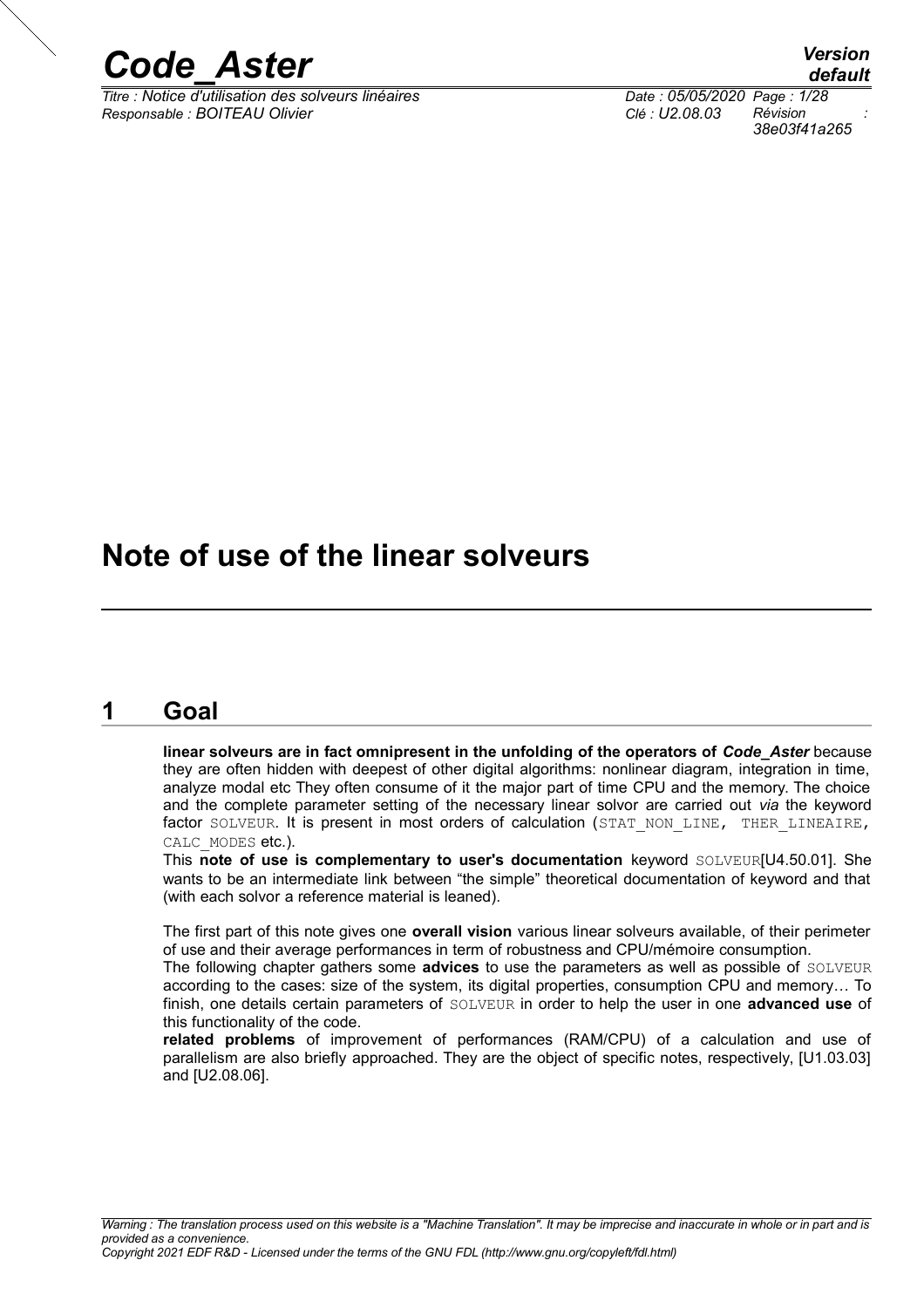

*Titre : Notice d'utilisation des solveurs linéaires Date : 05/05/2020 Page : 1/28 Responsable : BOITEAU Olivier Clé : U2.08.03 Révision :*

*default 38e03f41a265*

## **Note of use of the linear solveurs**

## **1 Goal**

<span id="page-0-0"></span>**linear solveurs are in fact omnipresent in the unfolding of the operators of** *Code\_Aster* because they are often hidden with deepest of other digital algorithms: nonlinear diagram, integration in time, analyze modal etc They often consume of it the major part of time CPU and the memory. The choice and the complete parameter setting of the necessary linear solvor are carried out *via* the keyword factor SOLVEUR. It is present in most orders of calculation (STAT NON LINE, THER LINEAIRE, CALC MODES etc.).

This **note of use is complementary to user's documentation** keyword SOLVEUR[U4.50.01]. She wants to be an intermediate link between "the simple" theoretical documentation of keyword and that (with each solvor a reference material is leaned).

The first part of this note gives one **overall vision** various linear solveurs available, of their perimeter of use and their average performances in term of robustness and CPU/mémoire consumption.

The following chapter gathers some **advices** to use the parameters as well as possible of SOLVEUR according to the cases: size of the system, its digital properties, consumption CPU and memory… To finish, one details certain parameters of SOLVEUR in order to help the user in one **advanced use** of this functionality of the code.

**related problems** of improvement of performances (RAM/CPU) of a calculation and use of parallelism are also briefly approached. They are the object of specific notes, respectively, [U1.03.03] and [U2.08.06].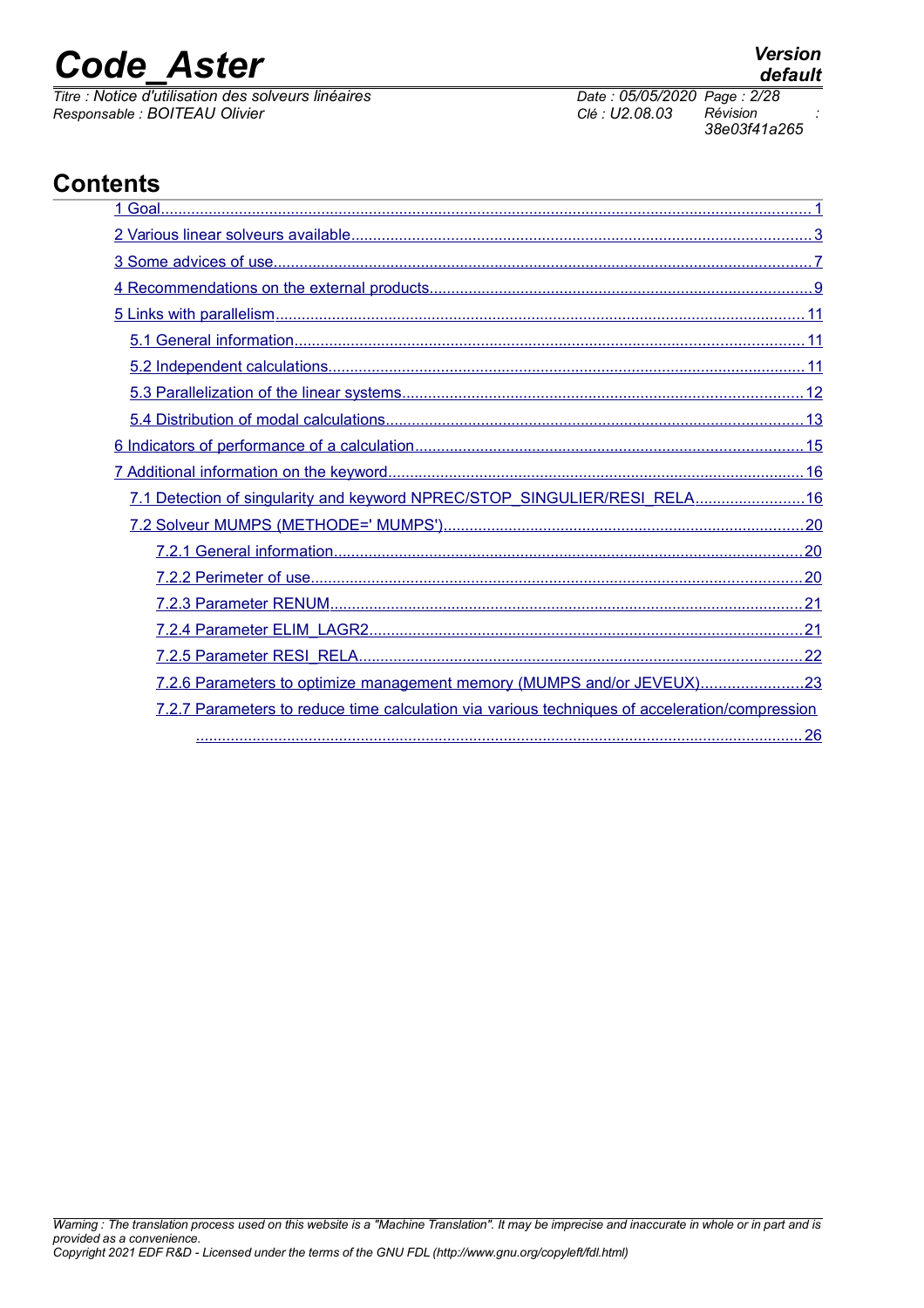*Titre : Notice d'utilisation des solveurs linéaires Date : 05/05/2020 Page : 2/28 Responsable : BOITEAU Olivier Clé : U2.08.03 Révision :*

*38e03f41a265*

## **Contents**

| 7.1 Detection of singularity and keyword NPREC/STOP_SINGULIER/RESI_RELA 16                     |  |
|------------------------------------------------------------------------------------------------|--|
|                                                                                                |  |
|                                                                                                |  |
|                                                                                                |  |
|                                                                                                |  |
|                                                                                                |  |
|                                                                                                |  |
| 7.2.6 Parameters to optimize management memory (MUMPS and/or JEVEUX)23                         |  |
| 7.2.7 Parameters to reduce time calculation via various techniques of acceleration/compression |  |
|                                                                                                |  |

*default*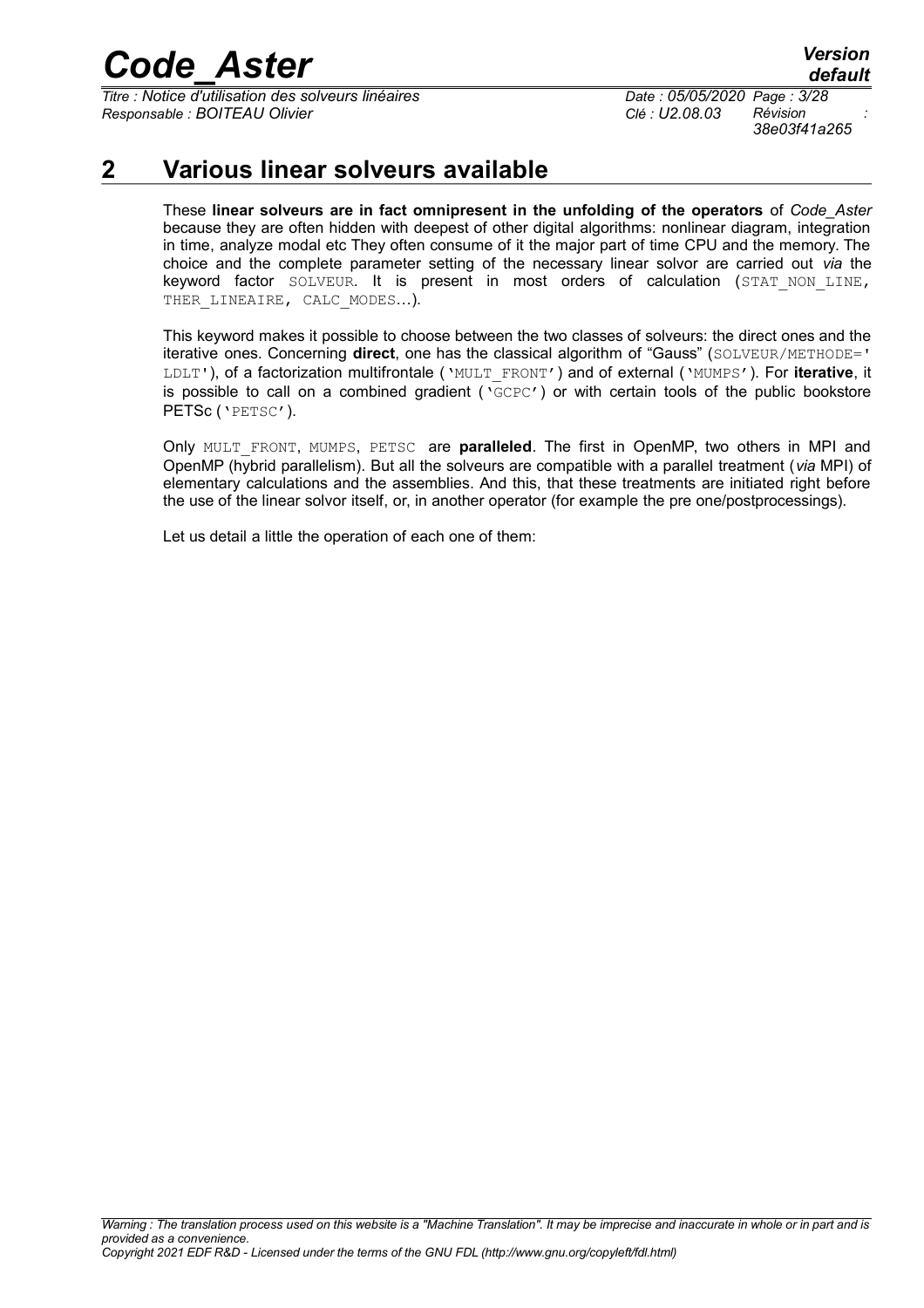*Titre : Notice d'utilisation des solveurs linéaires Date : 05/05/2020 Page : 3/28 Responsable : BOITEAU Olivier Clé : U2.08.03 Révision :*

*38e03f41a265*

## **2 Various linear solveurs available**

<span id="page-2-0"></span>These **linear solveurs are in fact omnipresent in the unfolding of the operators** of *Code\_Aster* because they are often hidden with deepest of other digital algorithms: nonlinear diagram, integration in time, analyze modal etc They often consume of it the major part of time CPU and the memory. The choice and the complete parameter setting of the necessary linear solvor are carried out *via* the keyword factor SOLVEUR. It is present in most orders of calculation (STAT\_NON\_LINE, THER LINEAIRE, CALC MODES...).

This keyword makes it possible to choose between the two classes of solveurs: the direct ones and the iterative ones. Concerning **direct**, one has the classical algorithm of "Gauss" (SOLVEUR/METHODE=' LDLT'), of a factorization multifrontale ('MULT\_FRONT') and of external ('MUMPS'). For **iterative**, it is possible to call on a combined gradient ( $\text{CCEC'}$ ) or with certain tools of the public bookstore PETSc ('PETSC').

Only MULT\_FRONT, MUMPS, PETSC are **paralleled**. The first in OpenMP, two others in MPI and OpenMP (hybrid parallelism). But all the solveurs are compatible with a parallel treatment (*via* MPI) of elementary calculations and the assemblies. And this, that these treatments are initiated right before the use of the linear solvor itself, or, in another operator (for example the pre one/postprocessings).

Let us detail a little the operation of each one of them: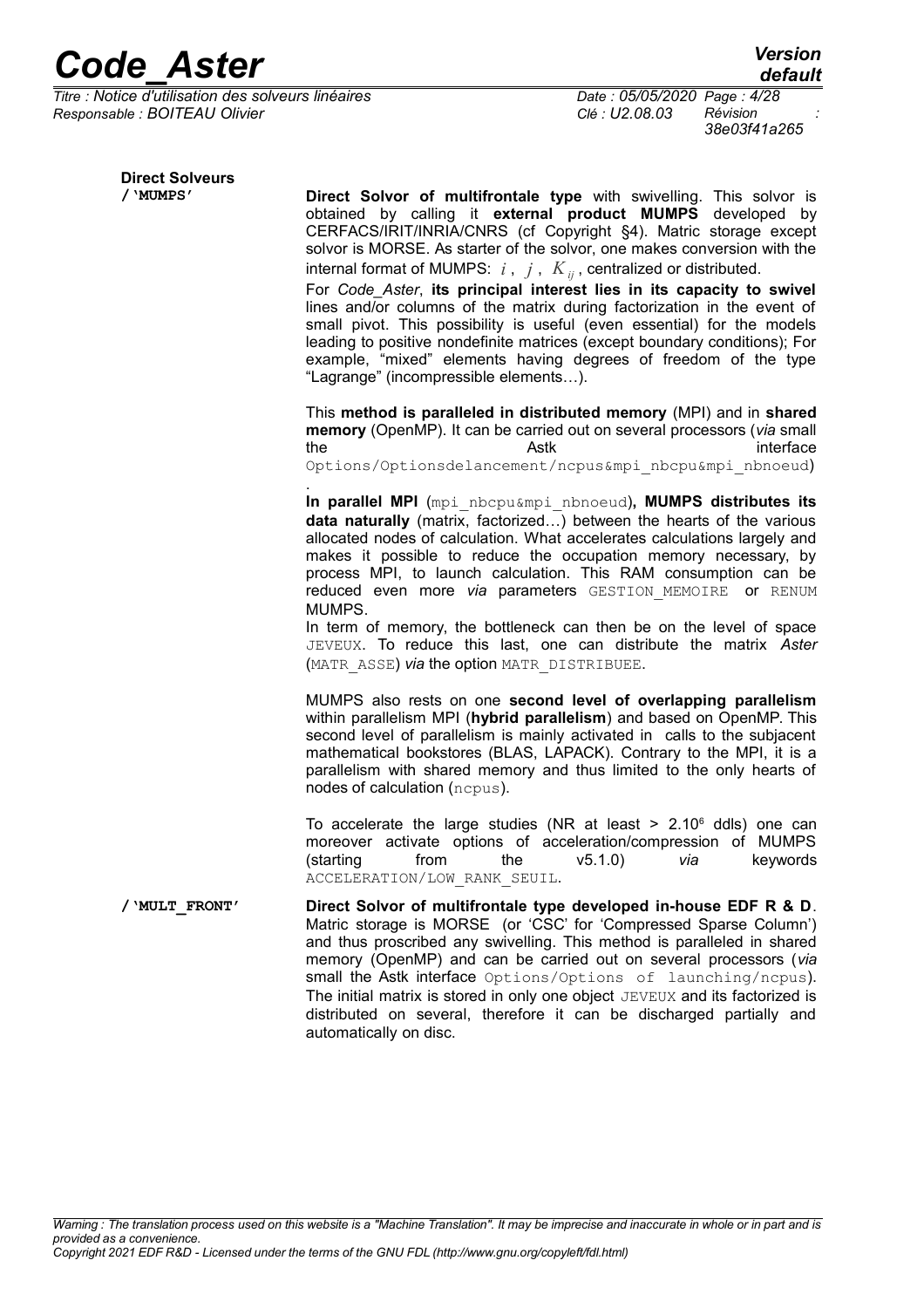*Titre : Notice d'utilisation des solveurs linéaires Date : 05/05/2020 Page : 4/28 Responsable : BOITEAU Olivier Clé : U2.08.03 Révision :*

*38e03f41a265*

| <b>Direct Solveurs</b> |                                                                                                                                                                                                                                                                                                                                                                                                                                                                                                                                                                              |
|------------------------|------------------------------------------------------------------------------------------------------------------------------------------------------------------------------------------------------------------------------------------------------------------------------------------------------------------------------------------------------------------------------------------------------------------------------------------------------------------------------------------------------------------------------------------------------------------------------|
| / 'MUMPS'              | Direct Solvor of multifrontale type with swivelling. This solvor is<br>obtained by calling it external product MUMPS developed by<br>CERFACS/IRIT/INRIA/CNRS (cf Copyright §4). Matric storage except<br>solvor is MORSE. As starter of the solvor, one makes conversion with the<br>internal format of MUMPS: $i$ , $j$ , $K_{ij}$ , centralized or distributed.                                                                                                                                                                                                            |
|                        | For Code Aster, its principal interest lies in its capacity to swivel<br>lines and/or columns of the matrix during factorization in the event of<br>small pivot. This possibility is useful (even essential) for the models<br>leading to positive nondefinite matrices (except boundary conditions); For<br>example, "mixed" elements having degrees of freedom of the type<br>"Lagrange" (incompressible elements).                                                                                                                                                        |
|                        | This method is paralleled in distributed memory (MPI) and in shared<br>memory (OpenMP). It can be carried out on several processors (via small<br>interface<br>the<br>Astk<br>Options/Optionsdelancement/ncpus&mpi nbcpu&mpi nbnoeud)                                                                                                                                                                                                                                                                                                                                        |
|                        | In parallel MPI (mpi nbcpu&mpi nbnoeud), MUMPS distributes its<br>data naturally (matrix, factorized) between the hearts of the various<br>allocated nodes of calculation. What accelerates calculations largely and<br>makes it possible to reduce the occupation memory necessary, by<br>process MPI, to launch calculation. This RAM consumption can be<br>reduced even more via parameters GESTION MEMOIRE or RENUM<br>MUMPS.<br>In term of memory, the bottleneck can then be on the level of space<br>JEVEUX. To reduce this last, one can distribute the matrix Aster |

(MATR\_ASSE) *via* the option MATR\_DISTRIBUEE.

MUMPS also rests on one **second level of overlapping parallelism** within parallelism MPI (**hybrid parallelism**) and based on OpenMP. This second level of parallelism is mainly activated in calls to the subjacent mathematical bookstores (BLAS, LAPACK). Contrary to the MPI, it is a parallelism with shared memory and thus limited to the only hearts of nodes of calculation (ncpus).

To accelerate the large studies (NR at least  $> 2.10^6$  ddls) one can moreover activate options of acceleration/compression of MUMPS (starting from the v5.1.0) *via* keywords ACCELERATION/LOW\_RANK\_SEUIL.

**/'MULT\_FRONT' Direct Solvor of multifrontale type developed in-house EDF R & D**. Matric storage is MORSE (or 'CSC' for 'Compressed Sparse Column') and thus proscribed any swivelling. This method is paralleled in shared memory (OpenMP) and can be carried out on several processors (*via* small the Astk interface Options/Options of launching/ncpus). The initial matrix is stored in only one object JEVEUX and its factorized is distributed on several, therefore it can be discharged partially and automatically on disc.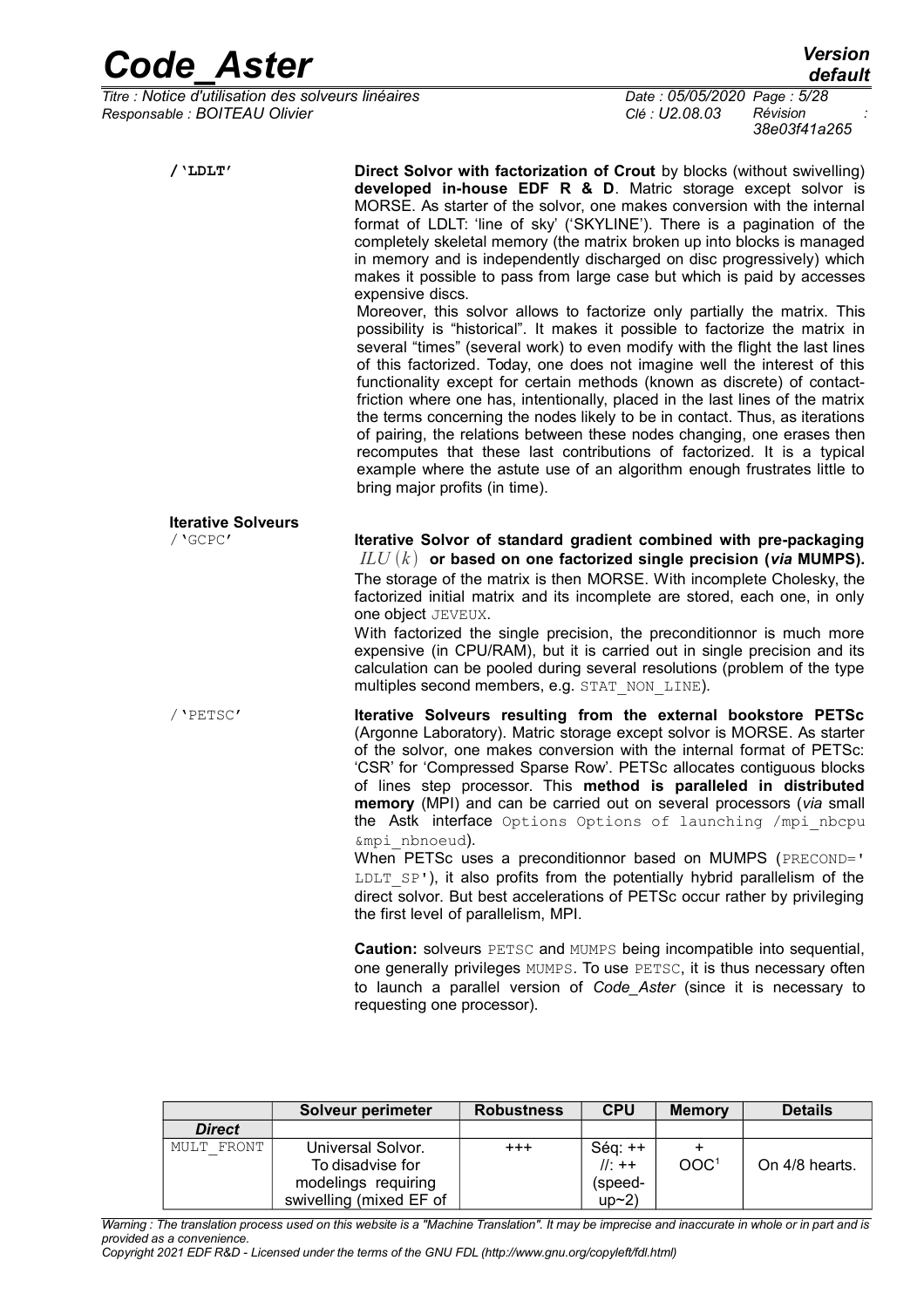*Titre : Notice d'utilisation des solveurs linéaires Date : 05/05/2020 Page : 5/28 Responsable : BOITEAU Olivier Clé : U2.08.03 Révision :*

| $/$ 'LDLT'                | Direct Solvor with factorization of Crout by blocks (without swivelling)<br>developed in-house EDF R & D. Matric storage except solvor is<br>MORSE. As starter of the solvor, one makes conversion with the internal<br>format of LDLT: 'line of sky' ('SKYLINE'). There is a pagination of the<br>completely skeletal memory (the matrix broken up into blocks is managed<br>in memory and is independently discharged on disc progressively) which<br>makes it possible to pass from large case but which is paid by accesses<br>expensive discs.<br>Moreover, this solvor allows to factorize only partially the matrix. This<br>possibility is "historical". It makes it possible to factorize the matrix in<br>several "times" (several work) to even modify with the flight the last lines<br>of this factorized. Today, one does not imagine well the interest of this<br>functionality except for certain methods (known as discrete) of contact-<br>friction where one has, intentionally, placed in the last lines of the matrix<br>the terms concerning the nodes likely to be in contact. Thus, as iterations<br>of pairing, the relations between these nodes changing, one erases then<br>recomputes that these last contributions of factorized. It is a typical<br>example where the astute use of an algorithm enough frustrates little to |
|---------------------------|-------------------------------------------------------------------------------------------------------------------------------------------------------------------------------------------------------------------------------------------------------------------------------------------------------------------------------------------------------------------------------------------------------------------------------------------------------------------------------------------------------------------------------------------------------------------------------------------------------------------------------------------------------------------------------------------------------------------------------------------------------------------------------------------------------------------------------------------------------------------------------------------------------------------------------------------------------------------------------------------------------------------------------------------------------------------------------------------------------------------------------------------------------------------------------------------------------------------------------------------------------------------------------------------------------------------------------------------------------------|
| <b>Iterative Solveurs</b> | bring major profits (in time).                                                                                                                                                                                                                                                                                                                                                                                                                                                                                                                                                                                                                                                                                                                                                                                                                                                                                                                                                                                                                                                                                                                                                                                                                                                                                                                              |
| / 'GCPC'                  | Iterative Solvor of standard gradient combined with pre-packaging<br>$ILU(k)$ or based on one factorized single precision (via MUMPS).<br>The storage of the matrix is then MORSE. With incomplete Cholesky, the<br>factorized initial matrix and its incomplete are stored, each one, in only<br>one object JEVEUX.<br>With factorized the single precision, the preconditionnor is much more<br>expensive (in CPU/RAM), but it is carried out in single precision and its<br>calculation can be pooled during several resolutions (problem of the type<br>multiples second members, e.g. STAT NON LINE).                                                                                                                                                                                                                                                                                                                                                                                                                                                                                                                                                                                                                                                                                                                                                  |
| / 'PETSC'                 | Iterative Solveurs resulting from the external bookstore PETSc<br>(Argonne Laboratory). Matric storage except solvor is MORSE. As starter<br>of the solvor, one makes conversion with the internal format of PETSc:<br>'CSR' for 'Compressed Sparse Row'. PETSc allocates contiguous blocks<br>of lines step processor. This method is paralleled in distributed<br>memory (MPI) and can be carried out on several processors (via small<br>the Astk interface Options Options of launching /mpi nbcpu<br>&mpi nbnoeud).                                                                                                                                                                                                                                                                                                                                                                                                                                                                                                                                                                                                                                                                                                                                                                                                                                    |
|                           | When PETSc uses a preconditionnor based on MUMPS (PRECOND='<br>LDLT SP'), it also profits from the potentially hybrid parallelism of the<br>direct solvor. But best accelerations of PETSc occur rather by privileging<br>the first level of parallelism, MPI.                                                                                                                                                                                                                                                                                                                                                                                                                                                                                                                                                                                                                                                                                                                                                                                                                                                                                                                                                                                                                                                                                              |
|                           | <b>Caution:</b> solveurs PETSC and MUMPS being incompatible into sequential,<br>one generally privileges MUMPS. To use PETSC, it is thus necessary often<br>to launch a parallel version of Code Aster (since it is necessary to<br>requesting one processor).                                                                                                                                                                                                                                                                                                                                                                                                                                                                                                                                                                                                                                                                                                                                                                                                                                                                                                                                                                                                                                                                                              |

|               | Solveur perimeter       | <b>Robustness</b> | <b>CPU</b> | <b>Memory</b>    | <b>Details</b> |
|---------------|-------------------------|-------------------|------------|------------------|----------------|
| <b>Direct</b> |                         |                   |            |                  |                |
| MULT FRONT    | Universal Solvor.       | $+ + +$           | $Séq:++$   |                  |                |
|               | To disadvise for        |                   | $  :++$    | OOC <sup>1</sup> | On 4/8 hearts. |
|               | modelings requiring     |                   | (speed-    |                  |                |
|               | swivelling (mixed EF of |                   | up~2)      |                  |                |

*Warning : The translation process used on this website is a "Machine Translation". It may be imprecise and inaccurate in whole or in part and is provided as a convenience.*

*Copyright 2021 EDF R&D - Licensed under the terms of the GNU FDL (http://www.gnu.org/copyleft/fdl.html)*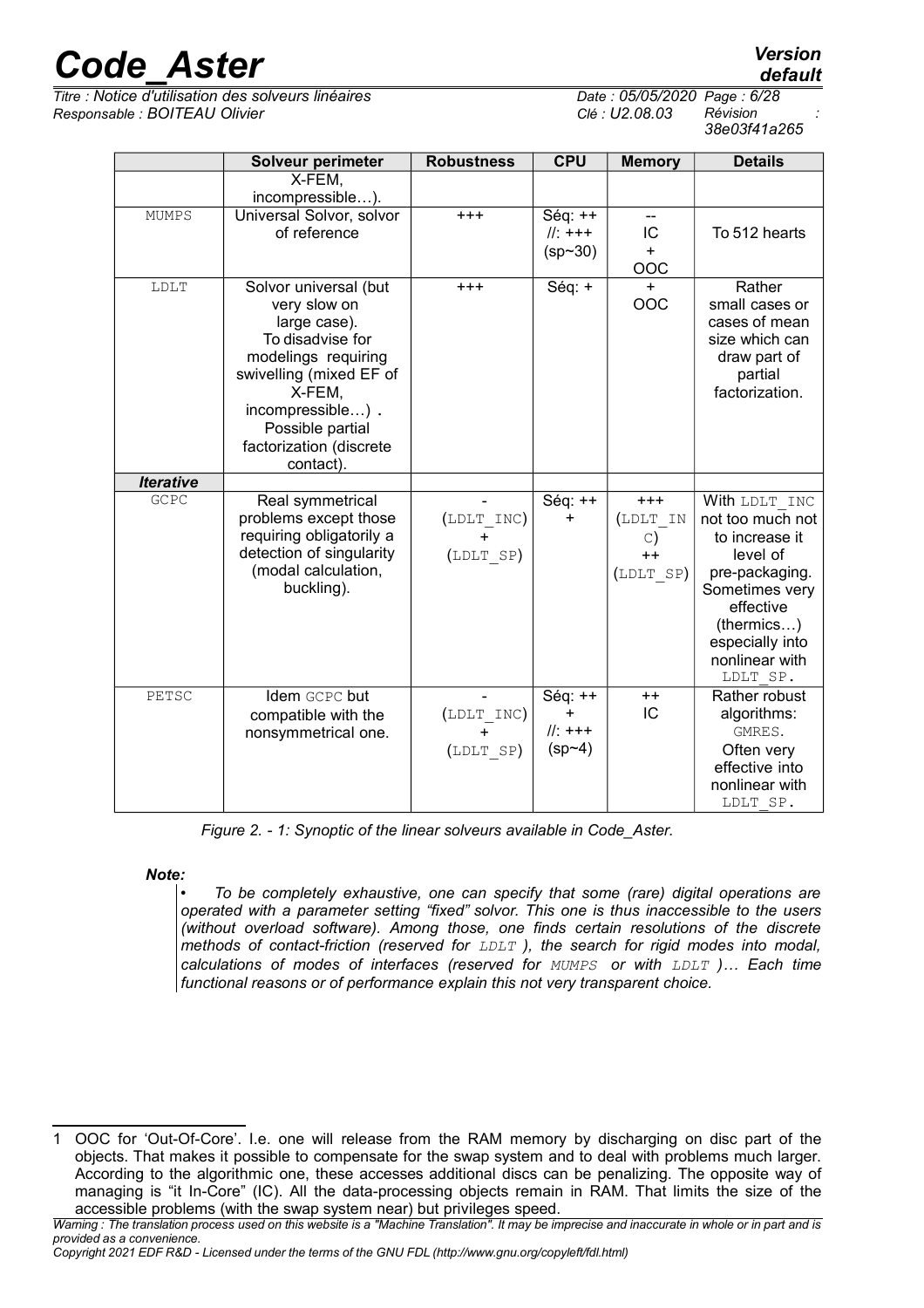*Titre : Notice d'utilisation des solveurs linéaires Date : 05/05/2020 Page : 6/28 Responsable : BOITEAU Olivier Clé : U2.08.03 Révision :*

|                         | default  |
|-------------------------|----------|
| : 05/05/2020 Page: 6/28 |          |
| U <sub>2</sub> .08.03   | Révision |
|                         |          |

| Révision     |  |
|--------------|--|
| 38e03f41a265 |  |

|                  | <b>Solveur perimeter</b>                                                                                                                                                                                              | <b>Robustness</b>                    | <b>CPU</b>                                    | <b>Memory</b>                                       | <b>Details</b>                                                                                                                                                                  |
|------------------|-----------------------------------------------------------------------------------------------------------------------------------------------------------------------------------------------------------------------|--------------------------------------|-----------------------------------------------|-----------------------------------------------------|---------------------------------------------------------------------------------------------------------------------------------------------------------------------------------|
|                  | X-FEM,<br>incompressible).                                                                                                                                                                                            |                                      |                                               |                                                     |                                                                                                                                                                                 |
| <b>MUMPS</b>     | Universal Solvor, solvor<br>of reference                                                                                                                                                                              | $+++$                                | $Séq:++$<br>$  :+++$<br>$(sp - 30)$           | $-$<br>IC<br>$+$<br>OOC                             | To 512 hearts                                                                                                                                                                   |
| LDLT             | Solvor universal (but<br>very slow on<br>large case).<br>To disadvise for<br>modelings requiring<br>swivelling (mixed EF of<br>X-FEM,<br>incompressible).<br>Possible partial<br>factorization (discrete<br>contact). | $^{+++}$                             | Séq: +                                        | $+$<br>OOC                                          | Rather<br>small cases or<br>cases of mean<br>size which can<br>draw part of<br>partial<br>factorization.                                                                        |
| <b>Iterative</b> |                                                                                                                                                                                                                       |                                      |                                               |                                                     |                                                                                                                                                                                 |
| GCPC             | Real symmetrical<br>problems except those<br>requiring obligatorily a<br>detection of singularity<br>(modal calculation,<br>buckling).                                                                                | (LDLT INC)<br>$\ddot{}$<br>(LDLT SP) | Séq: ++<br>$\ddot{}$                          | $+++$<br>(LDLT IN<br>$\circ$ )<br>$++$<br>(LDLT SP) | With LDLT INC<br>not too much not<br>to increase it<br>level of<br>pre-packaging.<br>Sometimes very<br>effective<br>(thermics)<br>especially into<br>nonlinear with<br>LDLT SP. |
| PETSC            | Idem GCPC but<br>compatible with the<br>nonsymmetrical one.                                                                                                                                                           | (LDLT INC)<br>$\ddot{}$<br>(LDLT SP) | $Séq:++$<br>$\ddot{}$<br>$  :+++$<br>$(sp-4)$ | $++$<br>IC                                          | Rather robust<br>algorithms:<br>GMRES.<br>Often very<br>effective into<br>nonlinear with<br>LDLT SP.                                                                            |

*Figure 2. - 1: Synoptic of the linear solveurs available in Code\_Aster.*

#### *Note:*

• *To be completely exhaustive, one can specify that some (rare) digital operations are operated with a parameter setting "fixed" solvor. This one is thus inaccessible to the users (without overload software). Among those, one finds certain resolutions of the discrete methods of contact-friction (reserved for LDLT ), the search for rigid modes into modal, calculations of modes of interfaces (reserved for MUMPS or with LDLT )… Each time functional reasons or of performance explain this not very transparent choice.*

<sup>1</sup> OOC for 'Out-Of-Core'. I.e. one will release from the RAM memory by discharging on disc part of the objects. That makes it possible to compensate for the swap system and to deal with problems much larger. According to the algorithmic one, these accesses additional discs can be penalizing. The opposite way of managing is "it In-Core" (IC). All the data-processing objects remain in RAM. That limits the size of the accessible problems (with the swap system near) but privileges speed.

*Warning : The translation process used on this website is a "Machine Translation". It may be imprecise and inaccurate in whole or in part and is provided as a convenience.*

*Copyright 2021 EDF R&D - Licensed under the terms of the GNU FDL (http://www.gnu.org/copyleft/fdl.html)*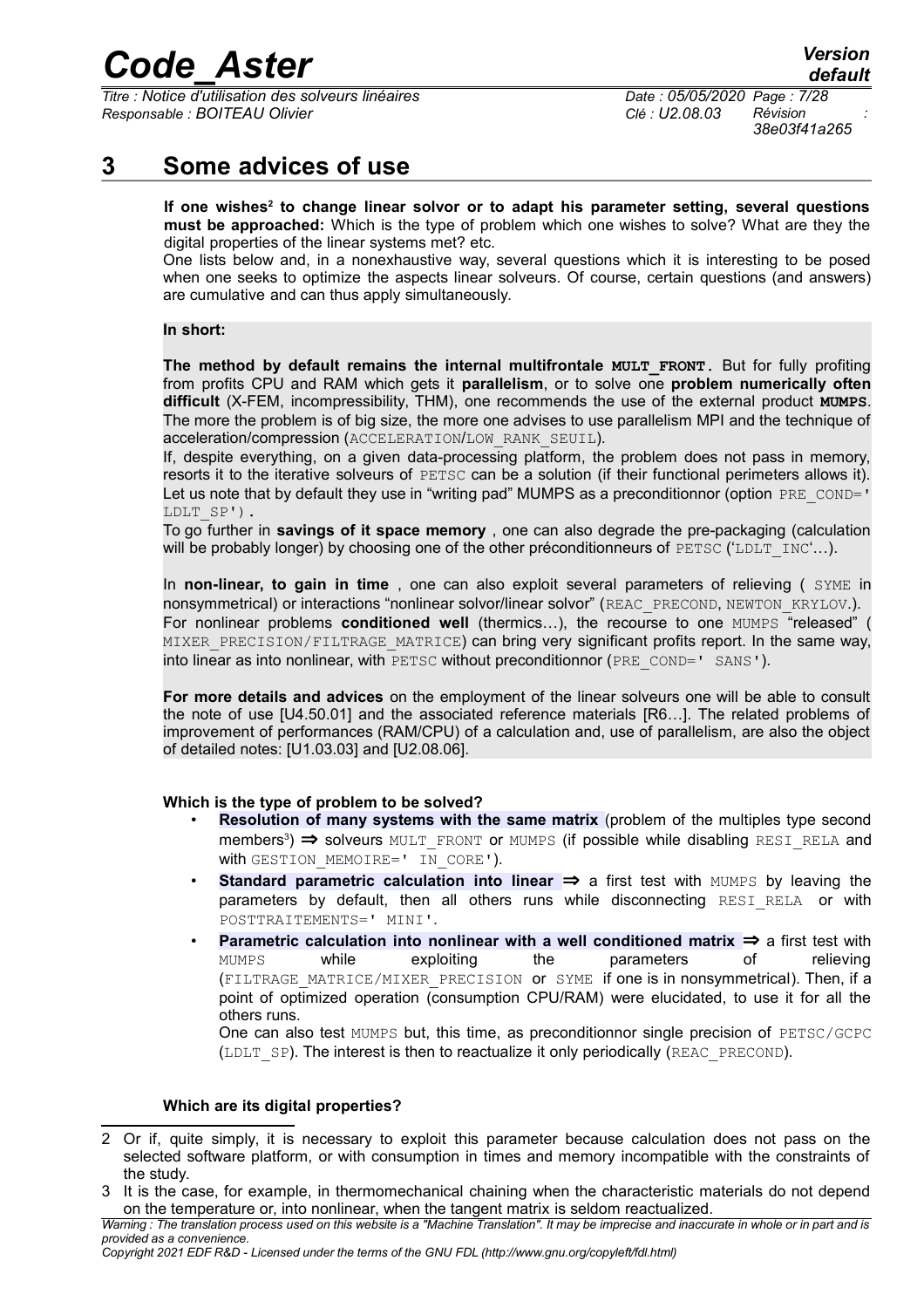*Titre : Notice d'utilisation des solveurs linéaires Date : 05/05/2020 Page : 7/28 Responsable : BOITEAU Olivier Clé : U2.08.03 Révision :*

*38e03f41a265*

## **3 Some advices of use**

<span id="page-6-0"></span>**If one wishes[2](#page-6-1) to change linear solvor or to adapt his parameter setting, several questions must be approached:** Which is the type of problem which one wishes to solve? What are they the digital properties of the linear systems met? etc.

One lists below and, in a nonexhaustive way, several questions which it is interesting to be posed when one seeks to optimize the aspects linear solveurs. Of course, certain questions (and answers) are cumulative and can thus apply simultaneously.

#### **In short:**

**The method by default remains the internal multifrontale MULT FRONT. But for fully profiting** from profits CPU and RAM which gets it **parallelism**, or to solve one **problem numerically often difficult** (X-FEM, incompressibility, THM), one recommends the use of the external product **MUMPS**. The more the problem is of big size, the more one advises to use parallelism MPI and the technique of acceleration/compression (ACCELERATION/LOW\_RANK\_SEUIL).

If, despite everything, on a given data-processing platform, the problem does not pass in memory, resorts it to the iterative solveurs of PETSC can be a solution (if their functional perimeters allows it). Let us note that by default they use in "writing pad" MUMPS as a preconditionnor (option PRE  $\text{COMP}$  -LDLT\_SP').

To go further in **savings of it space memory** , one can also degrade the pre-packaging (calculation will be probably longer) by choosing one of the other préconditionneurs of  $PETSC$  ( $LDLT\_INC'...$ ).

In **non-linear, to gain in time** , one can also exploit several parameters of relieving ( SYME in nonsymmetrical) or interactions "nonlinear solvor/linear solvor" (REAC\_PRECOND, NEWTON\_KRYLOV.). For nonlinear problems **conditioned well** (thermics…), the recourse to one MUMPS "released" ( MIXER\_PRECISION/FILTRAGE\_MATRICE) can bring very significant profits report. In the same way, into linear as into nonlinear, with PETSC without preconditionnor (PRE COND=' SANS').

**For more details and advices** on the employment of the linear solveurs one will be able to consult the note of use [U4.50.01] and the associated reference materials [R6…]. The related problems of improvement of performances (RAM/CPU) of a calculation and, use of parallelism, are also the object of detailed notes: [U1.03.03] and [U2.08.06].

#### **Which is the type of problem to be solved?**

- **Resolution of many systems with the same matrix** (problem of the multiples type second members<sup>[3](#page-6-2)</sup>) ⇒ solveurs MULT\_FRONT or MUMPS (if possible while disabling RESI\_RELA and with GESTION MEMOIRE=' IN CORE').
- **Standard parametric calculation into linear** ⇒ a first test with MUMPS by leaving the parameters by default, then all others runs while disconnecting RESI RELA or with POSTTRAITEMENTS=' MINI'.
- **Parametric calculation into nonlinear with a well conditioned matrix ⇒ a first test with** MUMPS while exploiting the parameters of relieving (FILTRAGE\_MATRICE/MIXER\_PRECISION or SYME if one is in nonsymmetrical). Then, if a point of optimized operation (consumption CPU/RAM) were elucidated, to use it for all the others runs.

One can also test MUMPS but, this time, as preconditionnor single precision of PETSC/GCPC (LDLT  $SP$ ). The interest is then to reactualize it only periodically (REAC PRECOND).

#### **Which are its digital properties?**

<span id="page-6-1"></span><sup>2</sup> Or if, quite simply, it is necessary to exploit this parameter because calculation does not pass on the selected software platform, or with consumption in times and memory incompatible with the constraints of the study.

<span id="page-6-2"></span><sup>3</sup> It is the case, for example, in thermomechanical chaining when the characteristic materials do not depend on the temperature or, into nonlinear, when the tangent matrix is seldom reactualized.

*Warning : The translation process used on this website is a "Machine Translation". It may be imprecise and inaccurate in whole or in part and is provided as a convenience.*

*Copyright 2021 EDF R&D - Licensed under the terms of the GNU FDL (http://www.gnu.org/copyleft/fdl.html)*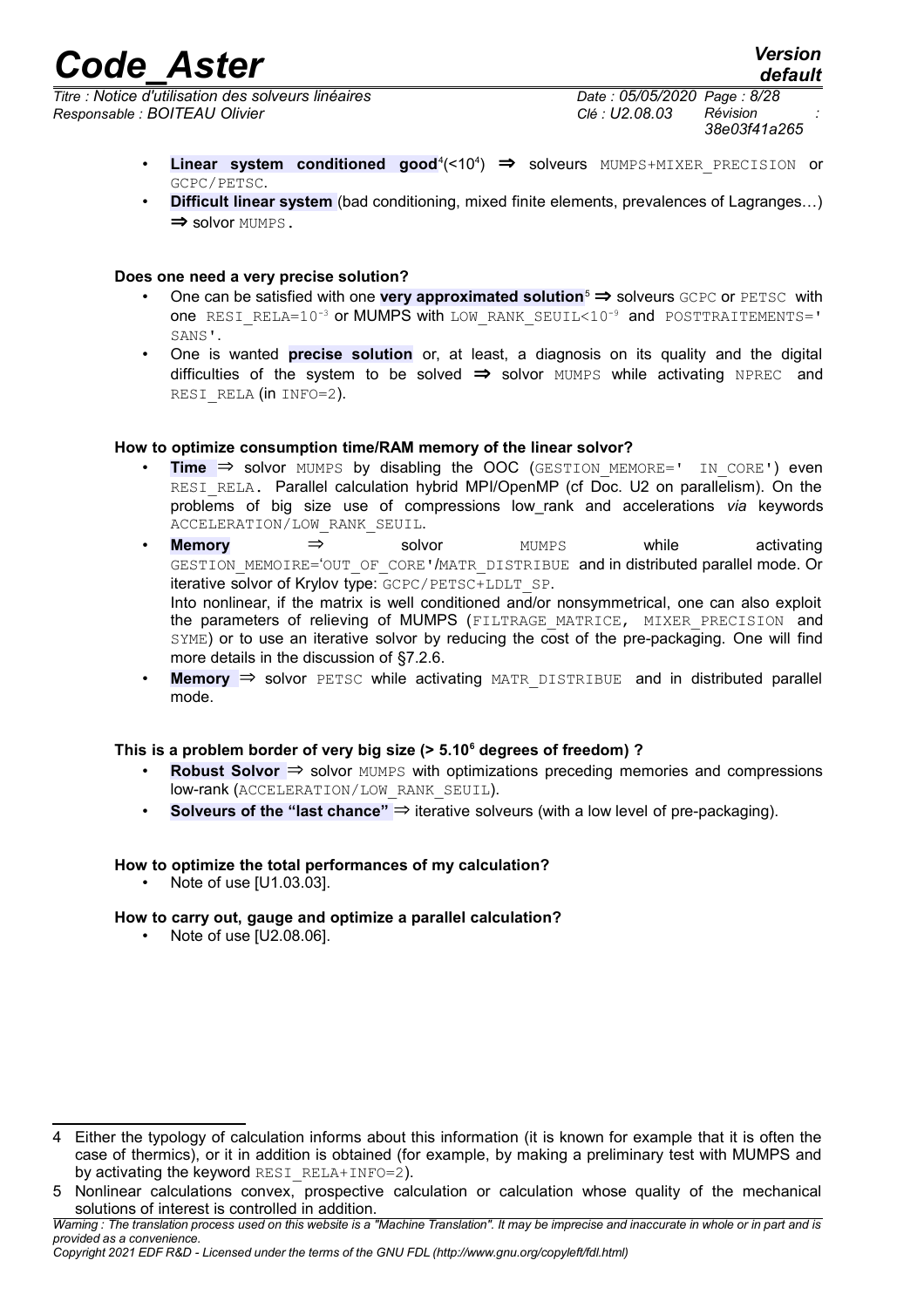*Titre : Notice d'utilisation des solveurs linéaires Date : 05/05/2020 Page : 8/28 Responsable : BOITEAU Olivier Clé : U2.08.03 Révision :*

- Linear system conditioned good<sup>[4](#page-7-0)</sup>(<10<sup>4</sup>)  $\Rightarrow$  solveurs MUMPS+MIXER PRECISION or GCPC/PETSC.
- **Difficult linear system** (bad conditioning, mixed finite elements, prevalences of Lagranges…) ⇒ solvor MUMPS.

#### **Does one need a very precise solution?**

- One can be satisfied with one very approximated solution<sup>[5](#page-7-1)</sup> ⇒ solveurs GCPC or PETSC with one RESI\_RELA=10<sup>-3</sup> or MUMPS with LOW\_RANK\_SEUIL<10<sup>-9</sup> and POSTTRAITEMENTS=' SANS'.
- One is wanted **precise solution** or, at least, a diagnosis on its quality and the digital difficulties of the system to be solved  $\Rightarrow$  solvor MUMPS while activating NPREC and RESI RELA (in INFO=2).

#### **How to optimize consumption time/RAM memory of the linear solvor?**

- **Time**  $\Rightarrow$  solvor MUMPS by disabling the OOC (GESTION MEMORE=' IN CORE') even RESI RELA. Parallel calculation hybrid MPI/OpenMP (cf Doc. U2 on parallelism). On the problems of big size use of compressions low\_rank and accelerations *via* keywords ACCELERATION/LOW\_RANK\_SEUIL.
- **Memory** ⇒ solvor MUMPS while activating GESTION MEMOIRE='OUT OF CORE'/MATR DISTRIBUE and in distributed parallel mode. Or iterative solvor of Krylov type: GCPC/PETSC+LDLT\_SP. Into nonlinear, if the matrix is well conditioned and/or nonsymmetrical, one can also exploit the parameters of relieving of MUMPS (FILTRAGE MATRICE, MIXER PRECISION and SYME) or to use an iterative solvor by reducing the cost of the pre-packaging. One will find more details in the discussion of [§7.2.6.](#page-22-0)
- **Memory ⇒** solvor PETSC while activating MATR DISTRIBUE and in distributed parallel mode.

### **This is a problem border of very big size (> 5.10<sup>6</sup> degrees of freedom) ?**

- **Robust Solvor** ⇒ solvor MUMPS with optimizations preceding memories and compressions low-rank (ACCELERATION/LOW\_RANK\_SEUIL).
- **Solveurs of the "last chance"** ⇒ iterative solveurs (with a low level of pre-packaging).

### **How to optimize the total performances of my calculation?**

• Note of use [U1.03.03].

### **How to carry out, gauge and optimize a parallel calculation?**

• Note of use [U2.08.06].

<span id="page-7-0"></span><sup>4</sup> Either the typology of calculation informs about this information (it is known for example that it is often the case of thermics), or it in addition is obtained (for example, by making a preliminary test with MUMPS and by activating the keyword RESI\_RELA+INFO=2).

<span id="page-7-1"></span><sup>5</sup> Nonlinear calculations convex, prospective calculation or calculation whose quality of the mechanical solutions of interest is controlled in addition.

*Warning : The translation process used on this website is a "Machine Translation". It may be imprecise and inaccurate in whole or in part and is provided as a convenience.*

*Copyright 2021 EDF R&D - Licensed under the terms of the GNU FDL (http://www.gnu.org/copyleft/fdl.html)*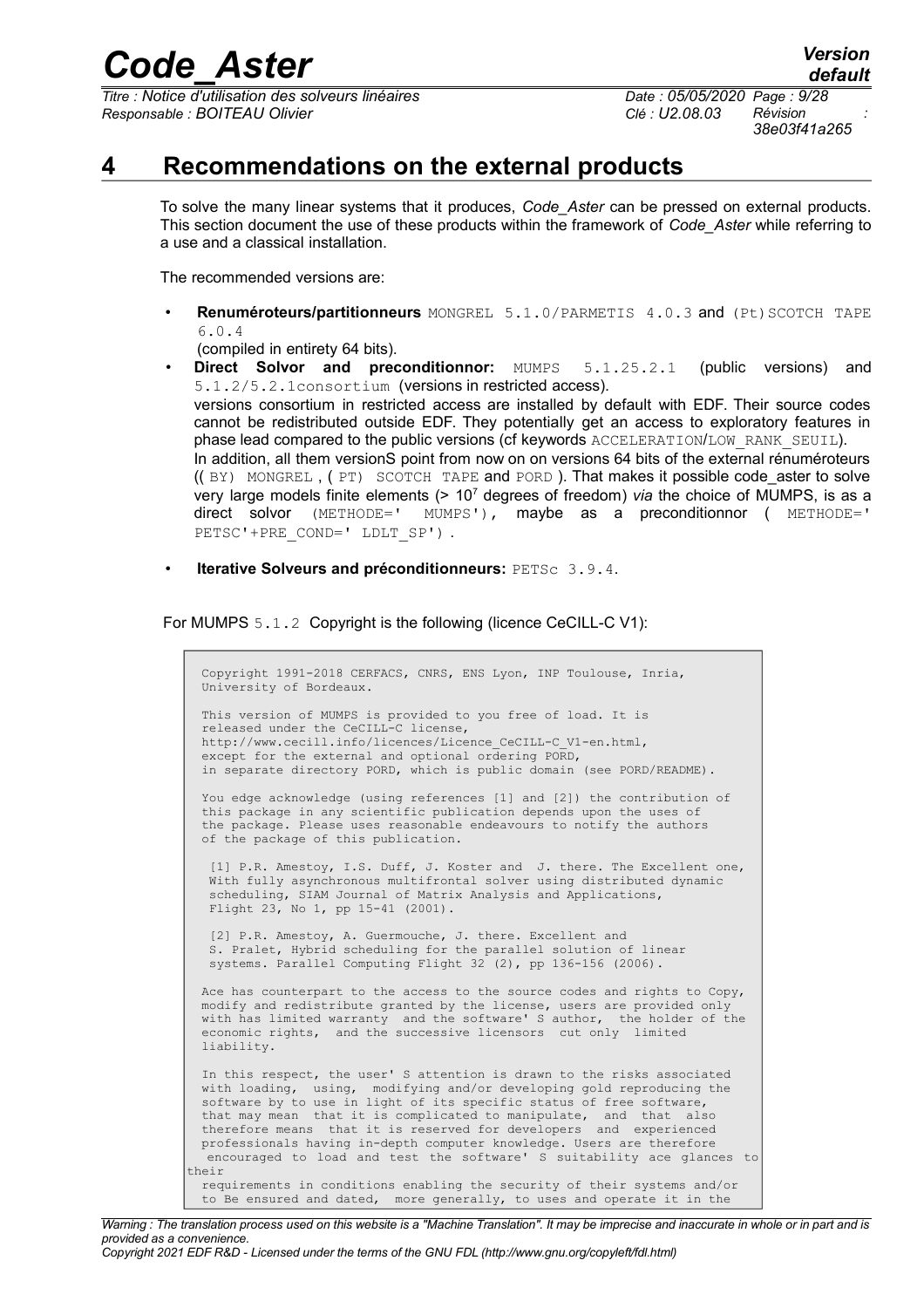*Titre : Notice d'utilisation des solveurs linéaires Date : 05/05/2020 Page : 9/28 Responsable : BOITEAU Olivier Clé : U2.08.03 Révision :*

*38e03f41a265*

### **4 Recommendations on the external products**

<span id="page-8-0"></span>To solve the many linear systems that it produces, *Code\_Aster* can be pressed on external products. This section document the use of these products within the framework of *Code\_Aster* while referring to a use and a classical installation.

The recommended versions are:

• **Renuméroteurs/partitionneurs** MONGREL 5.1.0/PARMETIS 4.0.3 and (Pt)SCOTCH TAPE 6.0.4

(compiled in entirety 64 bits).

- **Direct Solvor and preconditionnor:** MUMPS 5.1.25.2.1 (public versions) and 5.1.2/5.2.1consortium (versions in restricted access). versions consortium in restricted access are installed by default with EDF. Their source codes cannot be redistributed outside EDF. They potentially get an access to exploratory features in phase lead compared to the public versions (cf keywords ACCELERATION/LOW\_RANK\_SEUIL). In addition, all them versionS point from now on on versions 64 bits of the external rénuméroteurs (( BY) MONGREL , ( PT) SCOTCH TAPE and PORD ). That makes it possible code\_aster to solve very large models finite elements (> 10<sup>7</sup> degrees of freedom) *via* the choice of MUMPS, is as a direct solvor (METHODE=' MUMPS'), maybe as a preconditionnor ( METHODE=' PETSC'+PRE COND=' LDLT SP') .
- **Iterative Solveurs and préconditionneurs:** PETSc 3.9.4.

For MUMPS 5.1.2 Copyright is the following (licence CeCILL-C V1):

 Copyright 1991-2018 CERFACS, CNRS, ENS Lyon, INP Toulouse, Inria, University of Bordeaux. This version of MUMPS is provided to you free of load. It is released under the CeCILL-C license, http://www.cecill.info/licences/Licence\_CeCILL-C\_V1-en.html, except for the external and optional ordering PORD, in separate directory PORD, which is public domain (see PORD/README). You edge acknowledge (using references [1] and [2]) the contribution of this package in any scientific publication depends upon the uses of the package. Please uses reasonable endeavours to notify the authors of the package of this publication. [1] P.R. Amestoy, I.S. Duff, J. Koster and J. there. The Excellent one, With fully asynchronous multifrontal solver using distributed dynamic scheduling, SIAM Journal of Matrix Analysis and Applications, Flight 23, No 1, pp 15-41 (2001). [2] P.R. Amestoy, A. Guermouche, J. there. Excellent and S. Pralet, Hybrid scheduling for the parallel solution of linear systems. Parallel Computing Flight 32 (2), pp 136-156 (2006). Ace has counterpart to the access to the source codes and rights to Copy, modify and redistribute granted by the license, users are provided only with has limited warranty and the software' S author, the holder of the economic rights, and the successive licensors cut only limited liability. In this respect, the user' S attention is drawn to the risks associated with loading, using, modifying and/or developing gold reproducing the software by to use in light of its specific status of free software,<br>that may mean that it is complicated to manipulate, and that also that may mean that it is complicated to manipulate, and that therefore means that it is reserved for developers and experienced professionals having in-depth computer knowledge. Users are therefore encouraged to load and test the software' S suitability ace glances to their requirements in conditions enabling the security of their systems and/or to Be ensured and dated, more generally, to uses and operate it in the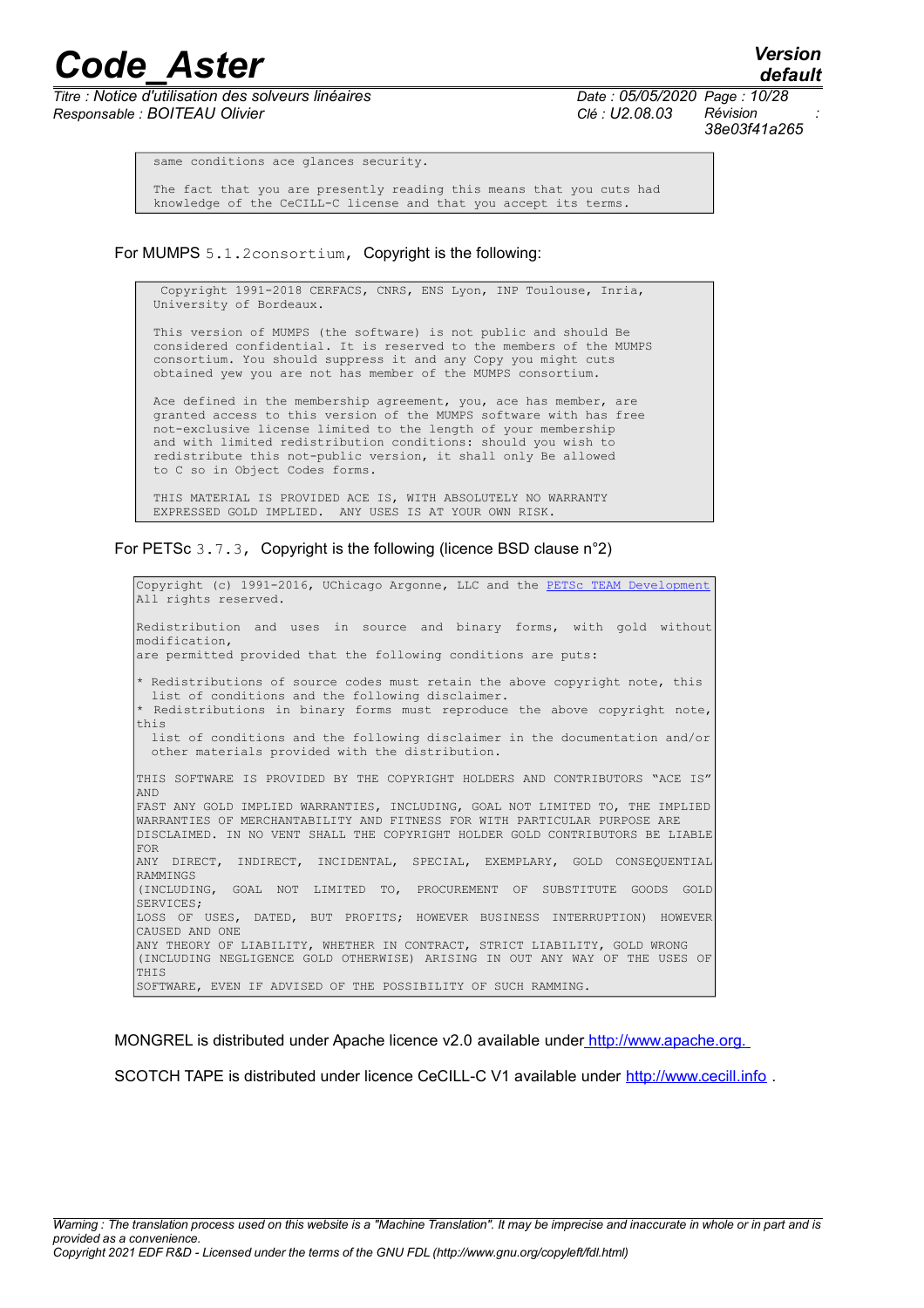*Titre : Notice d'utilisation des solveurs linéaires Date : 05/05/2020 Page : 10/28 Responsable : BOITEAU Olivier Clé : U2.08.03 Révision :*

*38e03f41a265*

*default*

same conditions ace glances security.

 The fact that you are presently reading this means that you cuts had knowledge of the CeCILL-C license and that you accept its terms.

For MUMPS 5.1.2consortium, Copyright is the following:

 Copyright 1991-2018 CERFACS, CNRS, ENS Lyon, INP Toulouse, Inria, University of Bordeaux.

 This version of MUMPS (the software) is not public and should Be considered confidential. It is reserved to the members of the MUMPS consortium. You should suppress it and any Copy you might cuts obtained yew you are not has member of the MUMPS consortium.

Ace defined in the membership agreement, you, ace has member, are granted access to this version of the MUMPS software with has free not-exclusive license limited to the length of your membership and with limited redistribution conditions: should you wish to redistribute this not-public version, it shall only Be allowed to C so in Object Codes forms.

 THIS MATERIAL IS PROVIDED ACE IS, WITH ABSOLUTELY NO WARRANTY EXPRESSED GOLD IMPLIED. ANY USES IS AT YOUR OWN RISK.

For PETSc 3.7.3, Copyright is the following (licence BSD clause n°2)

Copyright (c) 1991-2016, UChicago Argonne, LLC and the [PETSc TEAM Development](http://www.mcs.anl.gov/petsc/miscellaneous/index.html) All rights reserved. Redistribution and uses in source and binary forms, with gold without modification, are permitted provided that the following conditions are puts: \* Redistributions of source codes must retain the above copyright note, this list of conditions and the following disclaimer. \* Redistributions in binary forms must reproduce the above copyright note, this list of conditions and the following disclaimer in the documentation and/or other materials provided with the distribution. THIS SOFTWARE IS PROVIDED BY THE COPYRIGHT HOLDERS AND CONTRIBUTORS "ACE IS" AND FAST ANY GOLD IMPLIED WARRANTIES, INCLUDING, GOAL NOT LIMITED TO, THE IMPLIED WARRANTIES OF MERCHANTABILITY AND FITNESS FOR WITH PARTICULAR PURPOSE ARE DISCLAIMED. IN NO VENT SHALL THE COPYRIGHT HOLDER GOLD CONTRIBUTORS BE LIABLE FOR ANY DIRECT, INDIRECT, INCIDENTAL, SPECIAL, EXEMPLARY, GOLD CONSEQUENTIAL RAMMINGS (INCLUDING, GOAL NOT LIMITED TO, PROCUREMENT OF SUBSTITUTE GOODS GOLD SERVICES; LOSS OF USES, DATED, BUT PROFITS; HOWEVER BUSINESS INTERRUPTION) HOWEVER CAUSED AND ONE ANY THEORY OF LIABILITY, WHETHER IN CONTRACT, STRICT LIABILITY, GOLD WRONG (INCLUDING NEGLIGENCE GOLD OTHERWISE) ARISING IN OUT ANY WAY OF THE USES OF THIS SOFTWARE, EVEN IF ADVISED OF THE POSSIBILITY OF SUCH RAMMING.

MONGREL is distributed under Apache licence v2.0 available under http://www.apache.org.

SCOTCH TAPE is distributed under licence CeCILL-C V1 available under http://www.cecill.info .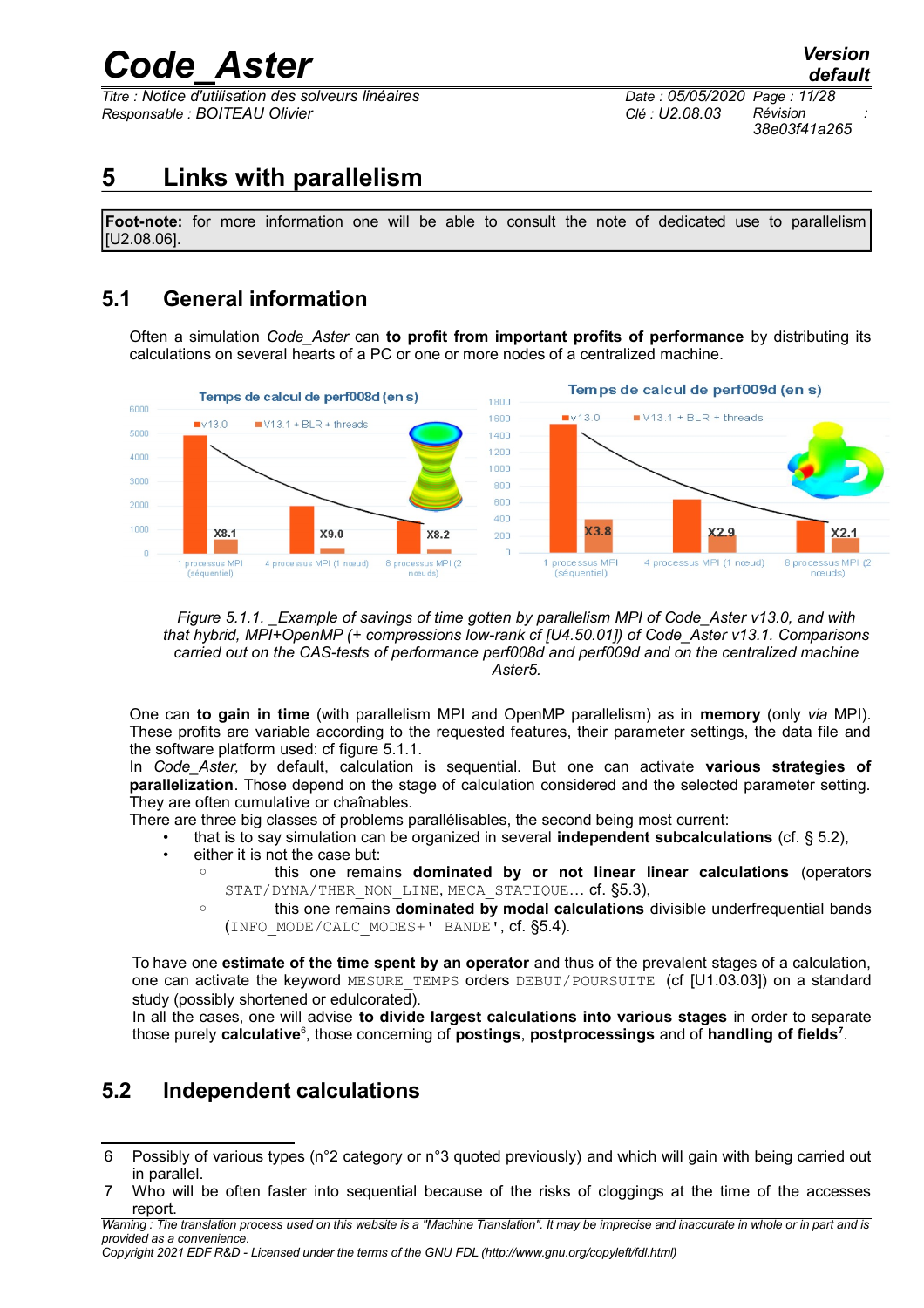*Titre : Notice d'utilisation des solveurs linéaires Date : 05/05/2020 Page : 11/28 Responsable : BOITEAU Olivier Clé : U2.08.03 Révision :*

*38e03f41a265*

## <span id="page-10-2"></span>**5 Links with parallelism**

**Foot-note:** for more information one will be able to consult the note of dedicated use to parallelism [U2.08.06].

## **5.1 General information**

<span id="page-10-1"></span>Often a simulation *Code\_Aster* can **to profit from important profits of performance** by distributing its calculations on several hearts of a PC or one or more nodes of a centralized machine.



*Figure 5.1.1. \_Example of savings of time gotten by parallelism MPI of Code\_Aster v13.0, and with that hybrid, MPI+OpenMP (+ compressions low-rank cf [U4.50.01]) of Code\_Aster v13.1. Comparisons carried out on the CAS-tests of performance perf008d and perf009d and on the centralized machine Aster5.*

One can **to gain in time** (with parallelism MPI and OpenMP parallelism) as in **memory** (only *via* MPI). These profits are variable according to the requested features, their parameter settings, the data file and the software platform used: cf figure 5.1.1.

In *Code\_Aster,* by default, calculation is sequential. But one can activate **various strategies of parallelization**. Those depend on the stage of calculation considered and the selected parameter setting. They are often cumulative or chaînables.

There are three big classes of problems parallélisables, the second being most current:

- that is to say simulation can be organized in several **independent subcalculations** (cf. § 5.2),
- either it is not the case but:
	- this one remains **dominated by or not linear linear calculations** (operators STAT/DYNA/THER NON LINE, MECA STATIQUE... cf. §5.3),
	- this one remains **dominated by modal calculations** divisible underfrequential bands (INFO\_MODE/CALC\_MODES+' BANDE', cf. §5.4).

To have one **estimate of the time spent by an operator** and thus of the prevalent stages of a calculation, one can activate the keyword MESURE TEMPS orders DEBUT/POURSUITE (cf [U1.03.03]) on a standard study (possibly shortened or edulcorated).

In all the cases, one will advise **to divide largest calculations into various stages** in order to separate those purely **calculative**<sup>[6](#page-10-3)</sup>, those concerning of **postings**, **postprocessings** and of **handling of fields**<sup>[7](#page-10-4)</sup>.

## <span id="page-10-0"></span>**5.2 Independent calculations**

*Warning : The translation process used on this website is a "Machine Translation". It may be imprecise and inaccurate in whole or in part and is provided as a convenience.*

*Copyright 2021 EDF R&D - Licensed under the terms of the GNU FDL (http://www.gnu.org/copyleft/fdl.html)*

<span id="page-10-3"></span><sup>6</sup> Possibly of various types (n°2 category or n°3 quoted previously) and which will gain with being carried out in parallel.

<span id="page-10-4"></span><sup>7</sup> Who will be often faster into sequential because of the risks of cloggings at the time of the accesses report.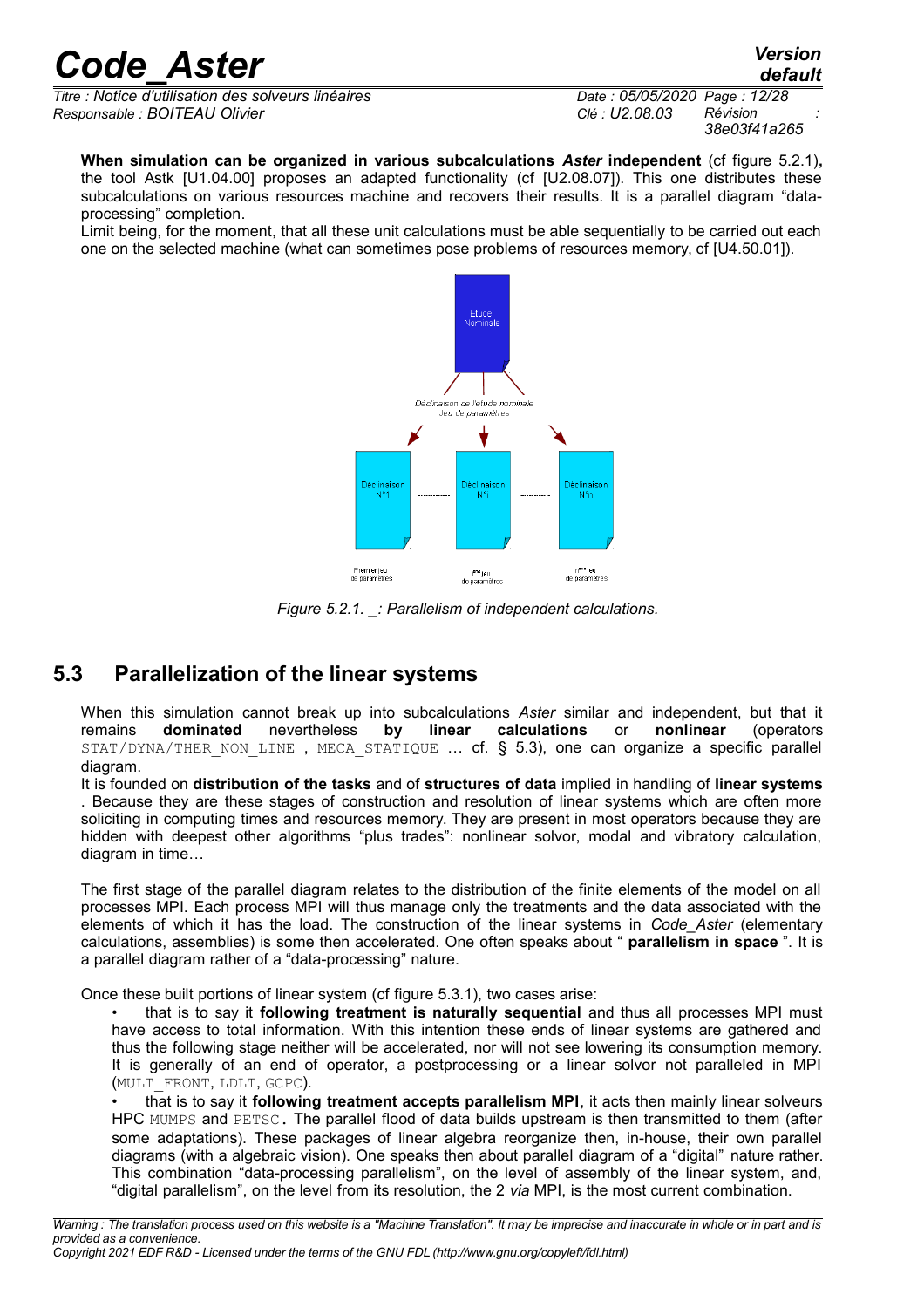*Titre : Notice d'utilisation des solveurs linéaires Date : 05/05/2020 Page : 12/28 Responsable : BOITEAU Olivier Clé : U2.08.03 Révision :*

*38e03f41a265*

**When simulation can be organized in various subcalculations** *Aster* **independent** (cf figure 5.2.1)**,** the tool Astk [U1.04.00] proposes an adapted functionality (cf [U2.08.07]). This one distributes these subcalculations on various resources machine and recovers their results. It is a parallel diagram "dataprocessing" completion.

Limit being, for the moment, that all these unit calculations must be able sequentially to be carried out each one on the selected machine (what can sometimes pose problems of resources memory, cf [U4.50.01]).



*Figure 5.2.1. \_: Parallelism of independent calculations.*

## **5.3 Parallelization of the linear systems**

<span id="page-11-0"></span>When this simulation cannot break up into subcalculations *Aster* similar and independent, but that it remains **dominated** nevertheless **by linear calculations** or **nonlinear** (operators  $STAT/DYNA/THERNON LINE$ , MECA  $STATIQUE$  ... cf. § 5.3), one can organize a specific parallel diagram.

It is founded on **distribution of the tasks** and of **structures of data** implied in handling of **linear systems** . Because they are these stages of construction and resolution of linear systems which are often more soliciting in computing times and resources memory. They are present in most operators because they are hidden with deepest other algorithms "plus trades": nonlinear solvor, modal and vibratory calculation, diagram in time…

The first stage of the parallel diagram relates to the distribution of the finite elements of the model on all processes MPI. Each process MPI will thus manage only the treatments and the data associated with the elements of which it has the load. The construction of the linear systems in *Code\_Aster* (elementary calculations, assemblies) is some then accelerated. One often speaks about " **parallelism in space** ". It is a parallel diagram rather of a "data-processing" nature.

Once these built portions of linear system (cf figure 5.3.1), two cases arise:

• that is to say it **following treatment is naturally sequential** and thus all processes MPI must have access to total information. With this intention these ends of linear systems are gathered and thus the following stage neither will be accelerated, nor will not see lowering its consumption memory. It is generally of an end of operator, a postprocessing or a linear solvor not paralleled in MPI (MULT\_FRONT, LDLT, GCPC).

• that is to say it **following treatment accepts parallelism MPI**, it acts then mainly linear solveurs HPC MUMPS and PETSC. The parallel flood of data builds upstream is then transmitted to them (after some adaptations). These packages of linear algebra reorganize then, in-house, their own parallel diagrams (with a algebraic vision). One speaks then about parallel diagram of a "digital" nature rather. This combination "data-processing parallelism", on the level of assembly of the linear system, and, "digital parallelism", on the level from its resolution, the 2 *via* MPI, is the most current combination.

*default*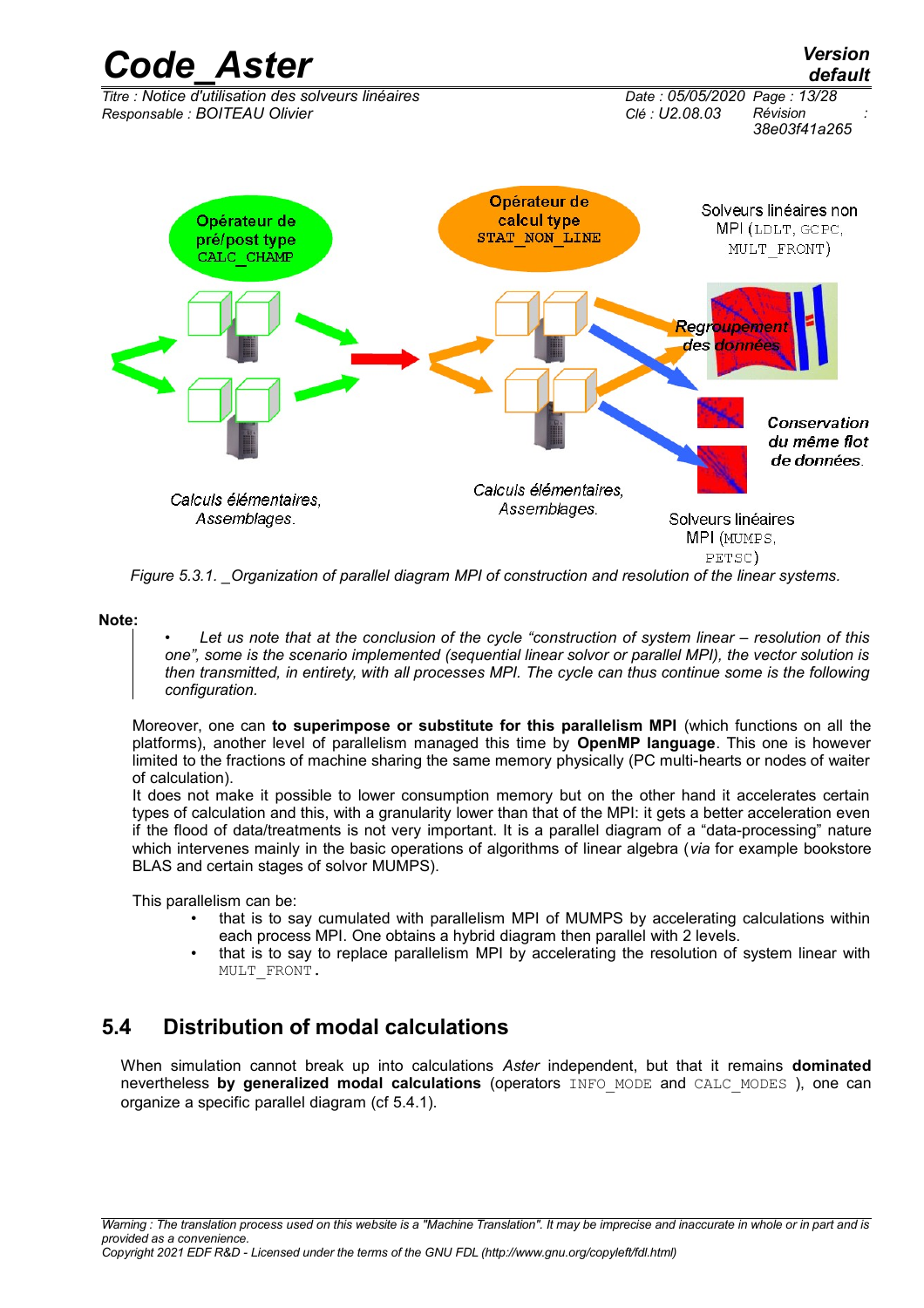

*Figure 5.3.1. \_Organization of parallel diagram MPI of construction and resolution of the linear systems.*

**Note:**

• *Let us note that at the conclusion of the cycle "construction of system linear – resolution of this one", some is the scenario implemented (sequential linear solvor or parallel MPI), the vector solution is then transmitted, in entirety, with all processes MPI. The cycle can thus continue some is the following configuration.*

Moreover, one can **to superimpose or substitute for this parallelism MPI** (which functions on all the platforms), another level of parallelism managed this time by **OpenMP language**. This one is however limited to the fractions of machine sharing the same memory physically (PC multi-hearts or nodes of waiter of calculation).

It does not make it possible to lower consumption memory but on the other hand it accelerates certain types of calculation and this, with a granularity lower than that of the MPI: it gets a better acceleration even if the flood of data/treatments is not very important. It is a parallel diagram of a "data-processing" nature which intervenes mainly in the basic operations of algorithms of linear algebra (*via* for example bookstore BLAS and certain stages of solvor MUMPS).

This parallelism can be:

- that is to say cumulated with parallelism MPI of MUMPS by accelerating calculations within each process MPI. One obtains a hybrid diagram then parallel with 2 levels.
- that is to say to replace parallelism MPI by accelerating the resolution of system linear with MULT\_FRONT.

## **5.4 Distribution of modal calculations**

<span id="page-12-0"></span>When simulation cannot break up into calculations *Aster* independent, but that it remains **dominated** nevertheless **by generalized modal calculations** (operators INFO\_MODE and CALC\_MODES ), one can organize a specific parallel diagram (cf 5.4.1).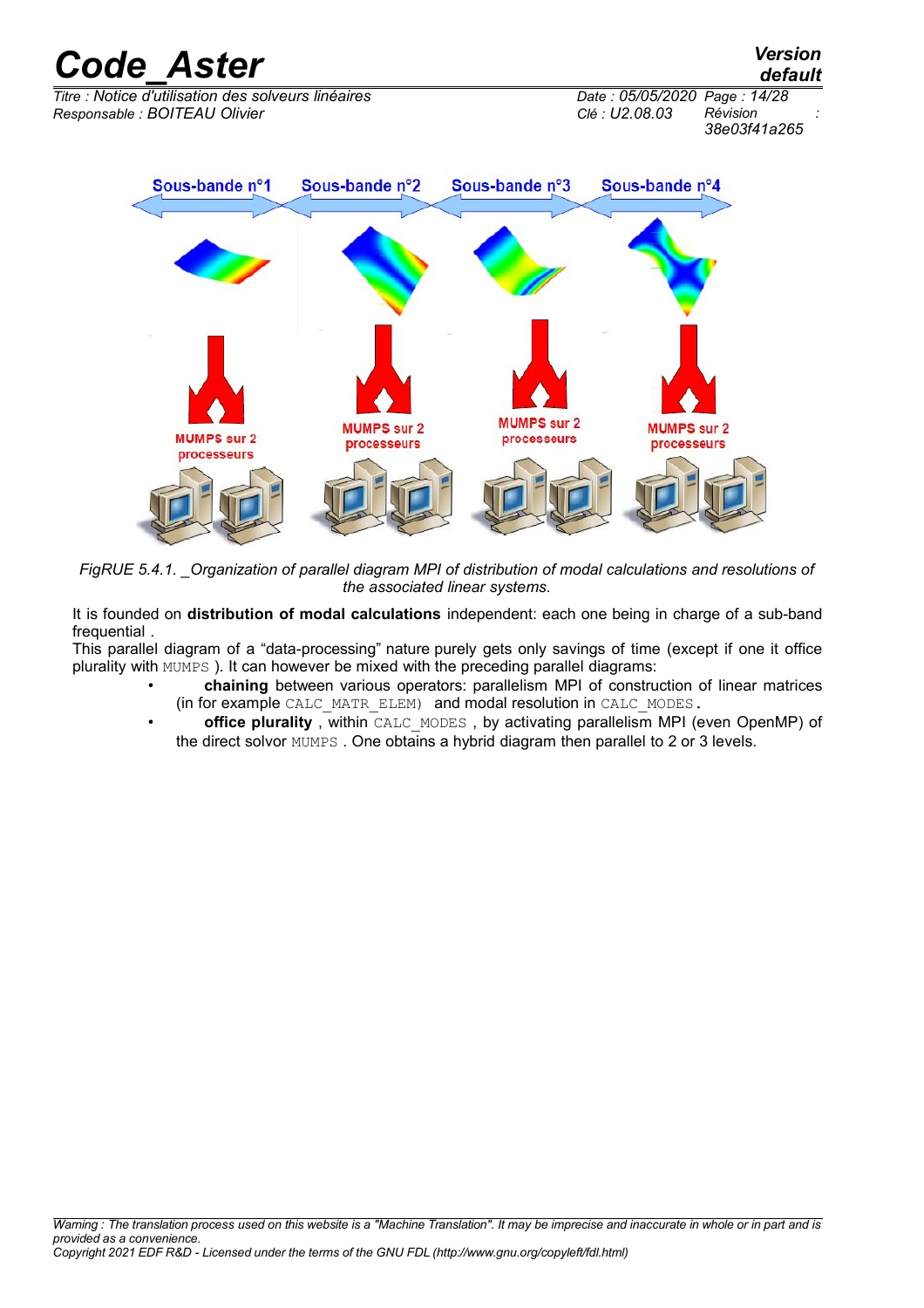$\overline{T}$ *Titre : Notice d'utilisation des solveurs linéaires Responsable : BOITEAU Olivier Clé : U2.08.03 Révision :*

*38e03f41a265*

*default*



*FigRUE 5.4.1. \_Organization of parallel diagram MPI of distribution of modal calculations and resolutions of the associated linear systems.*

It is founded on **distribution of modal calculations** independent: each one being in charge of a sub-band frequential .

This parallel diagram of a "data-processing" nature purely gets only savings of time (except if one it office plurality with MUMPS ). It can however be mixed with the preceding parallel diagrams:

- **chaining** between various operators: parallelism MPI of construction of linear matrices (in for example CALC\_MATR\_ELEM) and modal resolution in CALC\_MODES.
- **office plurality**, within CALC\_MODES, by activating parallelism MPI (even OpenMP) of the direct solvor MUMPS . One obtains a hybrid diagram then parallel to 2 or 3 levels.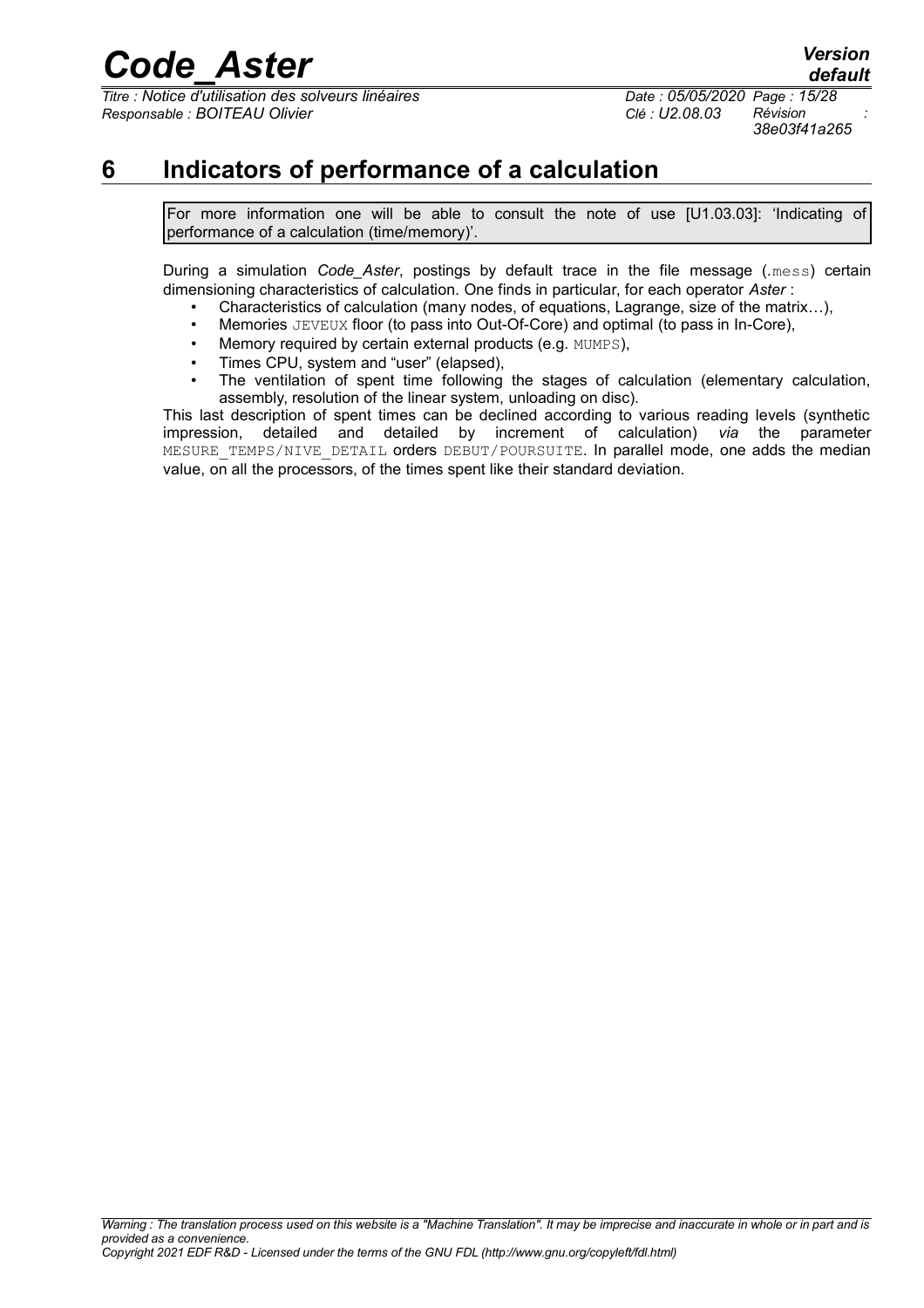$\overline{T}$ *Titre : Notice d'utilisation des solveurs linéaires Responsable : BOITEAU Olivier Clé : U2.08.03 Révision :*

*default 38e03f41a265*

## **6 Indicators of performance of a calculation**

<span id="page-14-0"></span>For more information one will be able to consult the note of use [U1.03.03]: 'Indicating of performance of a calculation (time/memory)'.

During a simulation *Code Aster*, postings by default trace in the file message (.mess) certain dimensioning characteristics of calculation. One finds in particular, for each operator *Aster* :

- Characteristics of calculation (many nodes, of equations, Lagrange, size of the matrix…),
- Memories JEVEUX floor (to pass into Out-Of-Core) and optimal (to pass in In-Core),
- Memory required by certain external products (e.g. MUMPS),
- Times CPU, system and "user" (elapsed),
- The ventilation of spent time following the stages of calculation (elementary calculation, assembly, resolution of the linear system, unloading on disc).

This last description of spent times can be declined according to various reading levels (synthetic impression, detailed and detailed by increment of calculation) *via* the parameter MESURE TEMPS/NIVE DETAIL orders DEBUT/POURSUITE. In parallel mode, one adds the median value, on all the processors, of the times spent like their standard deviation.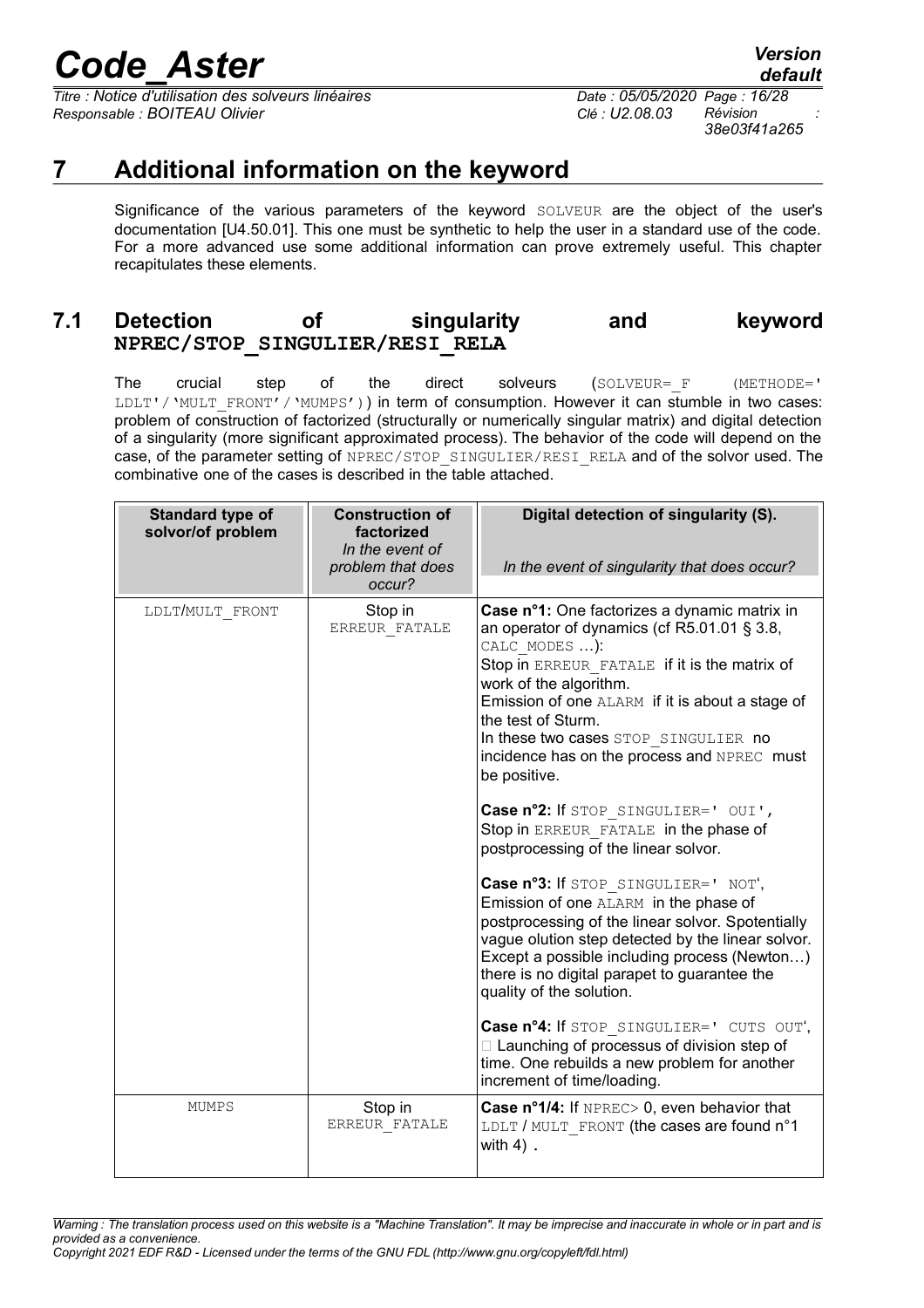*Titre : Notice d'utilisation des solveurs linéaires Date : 05/05/2020 Page : 16/28 Responsable : BOITEAU Olivier Clé : U2.08.03 Révision :*

*default 38e03f41a265*

## **7 Additional information on the keyword**

<span id="page-15-1"></span>Significance of the various parameters of the keyword SOLVEUR are the object of the user's documentation [U4.50.01]. This one must be synthetic to help the user in a standard use of the code. For a more advanced use some additional information can prove extremely useful. This chapter recapitulates these elements.

### <span id="page-15-0"></span>**7.1 Detection of singularity and keyword NPREC/STOP\_SINGULIER/RESI\_RELA**

The crucial step of the direct solveurs (SOLVEUR=F (METHODE=' LDLT'/'MULT\_FRONT'/'MUMPS')) in term of consumption. However it can stumble in two cases: problem of construction of factorized (structurally or numerically singular matrix) and digital detection of a singularity (more significant approximated process). The behavior of the code will depend on the case, of the parameter setting of NPREC/STOP\_SINGULIER/RESI\_RELA and of the solvor used. The combinative one of the cases is described in the table attached.

| Standard type of<br>solvor/of problem | <b>Construction of</b><br>factorized<br>In the event of<br>problem that does<br>occur? | Digital detection of singularity (S).<br>In the event of singularity that does occur?                                                                                                                                                                                                                                                                                                                                                                                                                                                                                                                                                                                                                                                                                                                                                                                                                                                                                                          |
|---------------------------------------|----------------------------------------------------------------------------------------|------------------------------------------------------------------------------------------------------------------------------------------------------------------------------------------------------------------------------------------------------------------------------------------------------------------------------------------------------------------------------------------------------------------------------------------------------------------------------------------------------------------------------------------------------------------------------------------------------------------------------------------------------------------------------------------------------------------------------------------------------------------------------------------------------------------------------------------------------------------------------------------------------------------------------------------------------------------------------------------------|
| LDLT/MULT FRONT                       | Stop in<br>ERREUR FATALE                                                               | Case n°1: One factorizes a dynamic matrix in<br>an operator of dynamics (cf R5.01.01 § 3.8,<br>CALC MODES ):<br>Stop in ERREUR FATALE if it is the matrix of<br>work of the algorithm.<br>Emission of one ALARM if it is about a stage of<br>the test of Sturm.<br>In these two cases STOP SINGULIER no<br>incidence has on the process and NPREC must<br>be positive.<br>Case n°2: If STOP SINGULIER=' OUI',<br>Stop in ERREUR FATALE in the phase of<br>postprocessing of the linear solvor.<br>Case n°3: If STOP SINGULIER=' NOT',<br>Emission of one ALARM in the phase of<br>postprocessing of the linear solvor. Spotentially<br>vague olution step detected by the linear solvor.<br>Except a possible including process (Newton)<br>there is no digital parapet to guarantee the<br>quality of the solution.<br>Case nº4: If STOP SINGULIER=' CUTS OUT',<br>□ Launching of processus of division step of<br>time. One rebuilds a new problem for another<br>increment of time/loading. |
| <b>MUMPS</b>                          | Stop in<br>ERREUR FATALE                                                               | Case n°1/4: If NPREC> 0, even behavior that<br>LDLT / MULT FRONT (the cases are found n°1<br>with $4)$ .                                                                                                                                                                                                                                                                                                                                                                                                                                                                                                                                                                                                                                                                                                                                                                                                                                                                                       |

*Warning : The translation process used on this website is a "Machine Translation". It may be imprecise and inaccurate in whole or in part and is provided as a convenience.*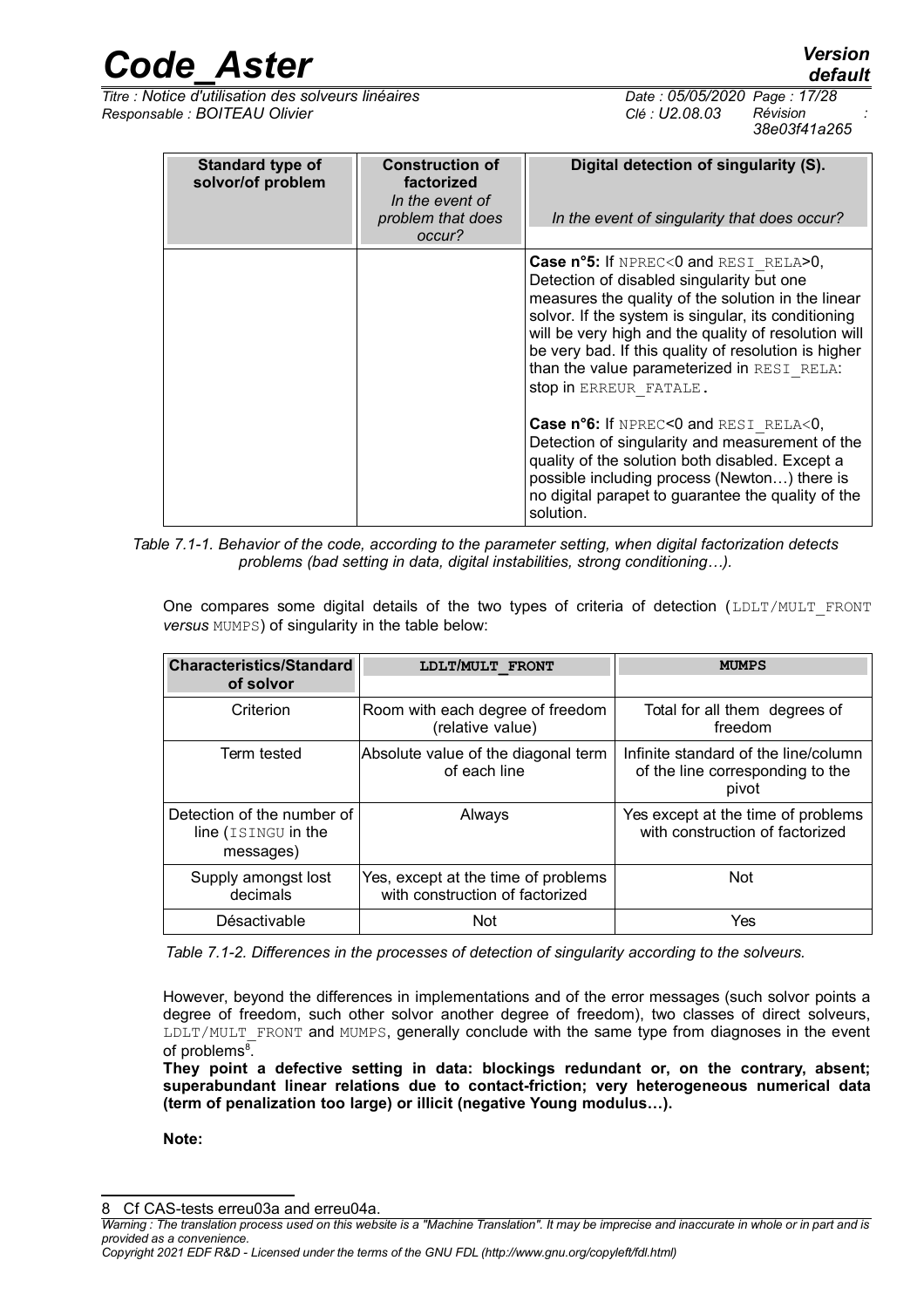*Code\_Aster Version default*

*Titre : Notice d'utilisation des solveurs linéaires Date : 05/05/2020 Page : 17/28 Responsable : BOITEAU Olivier Clé : U2.08.03 Révision :*

*38e03f41a265*

| <b>Standard type of</b><br>solvor/of problem | <b>Construction of</b><br>factorized<br>In the event of<br>problem that does<br>occur? | Digital detection of singularity (S).<br>In the event of singularity that does occur?                                                                                                                                                                                                                                                                                                                                                                                                                                                                                                                                                                                    |
|----------------------------------------------|----------------------------------------------------------------------------------------|--------------------------------------------------------------------------------------------------------------------------------------------------------------------------------------------------------------------------------------------------------------------------------------------------------------------------------------------------------------------------------------------------------------------------------------------------------------------------------------------------------------------------------------------------------------------------------------------------------------------------------------------------------------------------|
|                                              |                                                                                        | <b>Case n°5:</b> If $NPRECC$ and $RESI$ $RELA > 0$ ,<br>Detection of disabled singularity but one<br>measures the quality of the solution in the linear<br>solvor. If the system is singular, its conditioning<br>will be very high and the quality of resolution will<br>be very bad. If this quality of resolution is higher<br>than the value parameterized in RESI RELA:<br>stop in ERREUR FATALE.<br>Case n°6: If NPREC<0 and RESI RELA<0,<br>Detection of singularity and measurement of the<br>quality of the solution both disabled. Except a<br>possible including process (Newton) there is<br>no digital parapet to guarantee the quality of the<br>solution. |

*Table 7.1-1. Behavior of the code, according to the parameter setting, when digital factorization detects problems (bad setting in data, digital instabilities, strong conditioning…).*

One compares some digital details of the two types of criteria of detection (LDLT/MULT\_FRONT *versus* MUMPS) of singularity in the table below:

| <b>Characteristics/Standard</b>                                | LDLT/MULT FRONT                                                        | <b>MUMPS</b>                                                                      |
|----------------------------------------------------------------|------------------------------------------------------------------------|-----------------------------------------------------------------------------------|
| of solvor                                                      |                                                                        |                                                                                   |
| Criterion                                                      | Room with each degree of freedom<br>(relative value)                   | Total for all them degrees of<br>freedom                                          |
| Term tested                                                    | Absolute value of the diagonal term<br>of each line                    | Infinite standard of the line/column<br>of the line corresponding to the<br>pivot |
| Detection of the number of<br>line (ISINGU in the<br>messages) | Always                                                                 | Yes except at the time of problems<br>with construction of factorized             |
| Supply amongst lost<br>decimals                                | Yes, except at the time of problems<br>with construction of factorized | <b>Not</b>                                                                        |
| Désactivable                                                   | <b>Not</b>                                                             | Yes                                                                               |

*Table 7.1-2. Differences in the processes of detection of singularity according to the solveurs.*

However, beyond the differences in implementations and of the error messages (such solvor points a degree of freedom, such other solvor another degree of freedom), two classes of direct solveurs, LDLT/MULT\_FRONT and MUMPS, generally conclude with the same type from diagnoses in the event of problems<sup>[8](#page-16-0)</sup>.

**They point a defective setting in data: blockings redundant or, on the contrary, absent; superabundant linear relations due to contact-friction; very heterogeneous numerical data (term of penalization too large) or illicit (negative Young modulus…).**

**Note:**

<span id="page-16-0"></span>8 Cf CAS-tests erreu03a and erreu04a.

*Copyright 2021 EDF R&D - Licensed under the terms of the GNU FDL (http://www.gnu.org/copyleft/fdl.html)*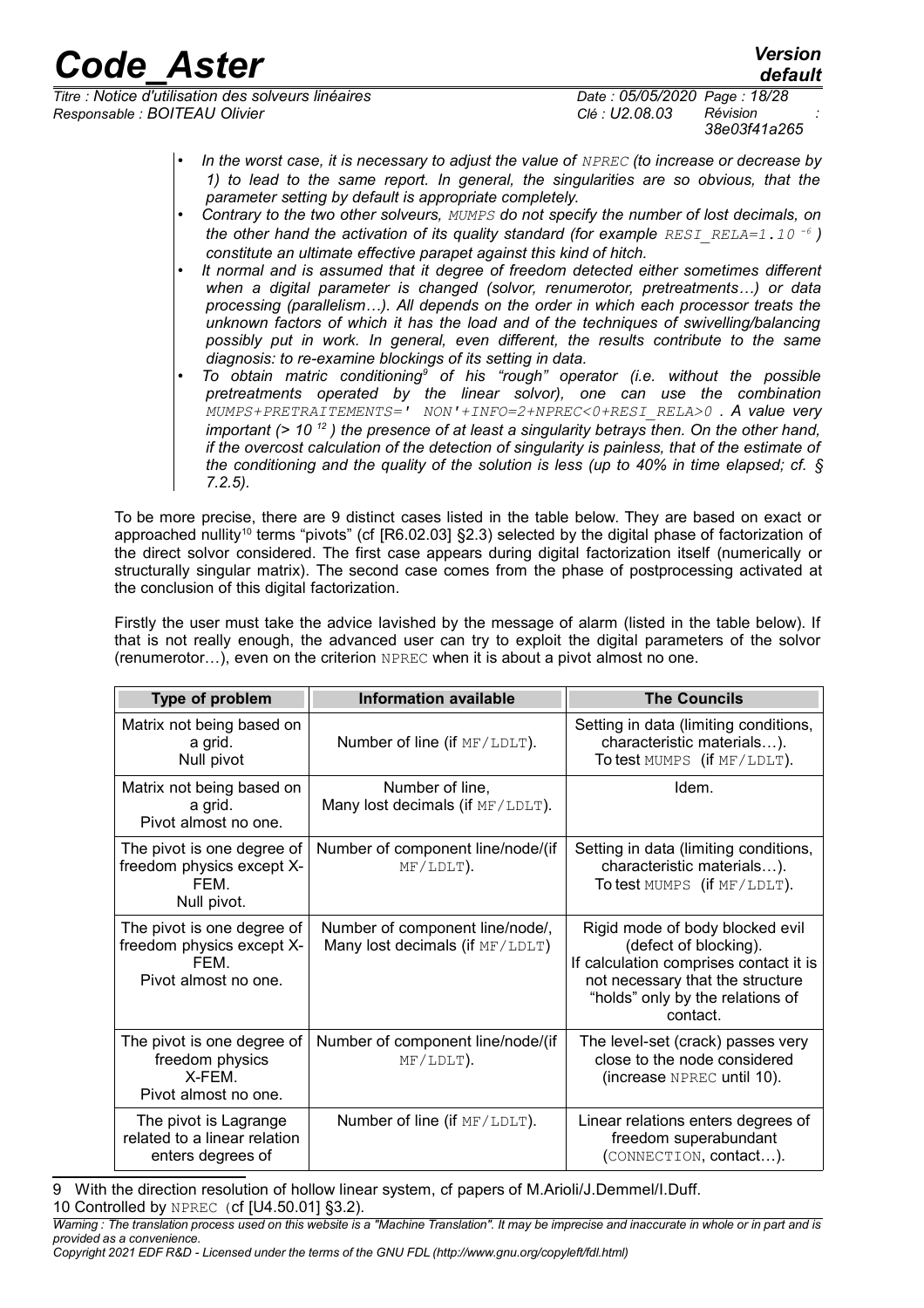*default*

*Titre : Notice d'utilisation des solveurs linéaires Date : 05/05/2020 Page : 18/28 Responsable : BOITEAU Olivier Clé : U2.08.03 Révision :*

*38e03f41a265*

- *In the worst case, it is necessary to adjust the value of NPREC (to increase or decrease by 1) to lead to the same report. In general, the singularities are so obvious, that the parameter setting by default is appropriate completely.*
- *Contrary to the two other solveurs, MUMPS do not specify the number of lost decimals, on the other hand the activation of its quality standard (for example RESI\_RELA=1.10<sup>-6</sup>) constitute an ultimate effective parapet against this kind of hitch.*
- *It normal and is assumed that it degree of freedom detected either sometimes different when a digital parameter is changed (solvor, renumerotor, pretreatments…) or data processing (parallelism…). All depends on the order in which each processor treats the unknown factors of which it has the load and of the techniques of swivelling/balancing possibly put in work. In general, even different, the results contribute to the same diagnosis: to re-examine blockings of its setting in data.*
- To obtain matric conditioning<sup>[9](#page-17-0)</sup> of his "rough" operator (i.e. without the possible *pretreatments operated by the linear solvor), one can use the combination MUMPS+PRETRAITEMENTS=' NON'+INFO=2+NPREC<0+RESI\_RELA>0 . A value very important (> 10 <sup>12</sup> ) the presence of at least a singularity betrays then. On the other hand, if the overcost calculation of the detection of singularity is painless, that of the estimate of the conditioning and the quality of the solution is less (up to 40% in time elapsed; cf. § 7.2.5).*

To be more precise, there are 9 distinct cases listed in the table below. They are based on exact or approached nullity<sup>[10](#page-17-1)</sup> terms "pivots" (cf [R6.02.03] §2.3) selected by the digital phase of factorization of the direct solvor considered. The first case appears during digital factorization itself (numerically or structurally singular matrix). The second case comes from the phase of postprocessing activated at the conclusion of this digital factorization.

Firstly the user must take the advice lavished by the message of alarm (listed in the table below). If that is not really enough, the advanced user can try to exploit the digital parameters of the solvor (renumerotor…), even on the criterion NPREC when it is about a pivot almost no one.

| Type of problem                                                                         | <b>Information available</b>                                       | <b>The Councils</b>                                                                                                                                                                    |
|-----------------------------------------------------------------------------------------|--------------------------------------------------------------------|----------------------------------------------------------------------------------------------------------------------------------------------------------------------------------------|
| Matrix not being based on<br>a grid.<br>Null pivot                                      | Number of line (if MF/LDLT).                                       | Setting in data (limiting conditions,<br>characteristic materials).<br>To test MUMPS (if MF/LDLT).                                                                                     |
| Matrix not being based on<br>a grid.<br>Pivot almost no one.                            | Number of line,<br>Many lost decimals (if MF/LDLT).                | Idem.                                                                                                                                                                                  |
| The pivot is one degree of<br>freedom physics except X-<br>FFM<br>Null pivot.           | Number of component line/node/(if<br>MF/LDLT).                     | Setting in data (limiting conditions,<br>characteristic materials).<br>To test MUMPS (if MF/LDLT).                                                                                     |
| The pivot is one degree of<br>freedom physics except X-<br>FFM.<br>Pivot almost no one. | Number of component line/node/,<br>Many lost decimals (if MF/LDLT) | Rigid mode of body blocked evil<br>(defect of blocking).<br>If calculation comprises contact it is<br>not necessary that the structure<br>"holds" only by the relations of<br>contact. |
| The pivot is one degree of<br>freedom physics<br>X-FFM.<br>Pivot almost no one.         | Number of component line/node/(if<br>MF/LDLT).                     | The level-set (crack) passes very<br>close to the node considered<br>$(increase$ NPREC until 10).                                                                                      |
| The pivot is Lagrange<br>related to a linear relation<br>enters degrees of              | Number of line (if MF/LDLT).                                       | Linear relations enters degrees of<br>freedom superabundant<br>(CONNECTION, contact).                                                                                                  |

<span id="page-17-1"></span><span id="page-17-0"></span>9 With the direction resolution of hollow linear system, cf papers of M.Arioli/J.Demmel/I.Duff. 10 Controlled by NPREC (cf [U4.50.01] §3.2).

*Warning : The translation process used on this website is a "Machine Translation". It may be imprecise and inaccurate in whole or in part and is provided as a convenience.*

*Copyright 2021 EDF R&D - Licensed under the terms of the GNU FDL (http://www.gnu.org/copyleft/fdl.html)*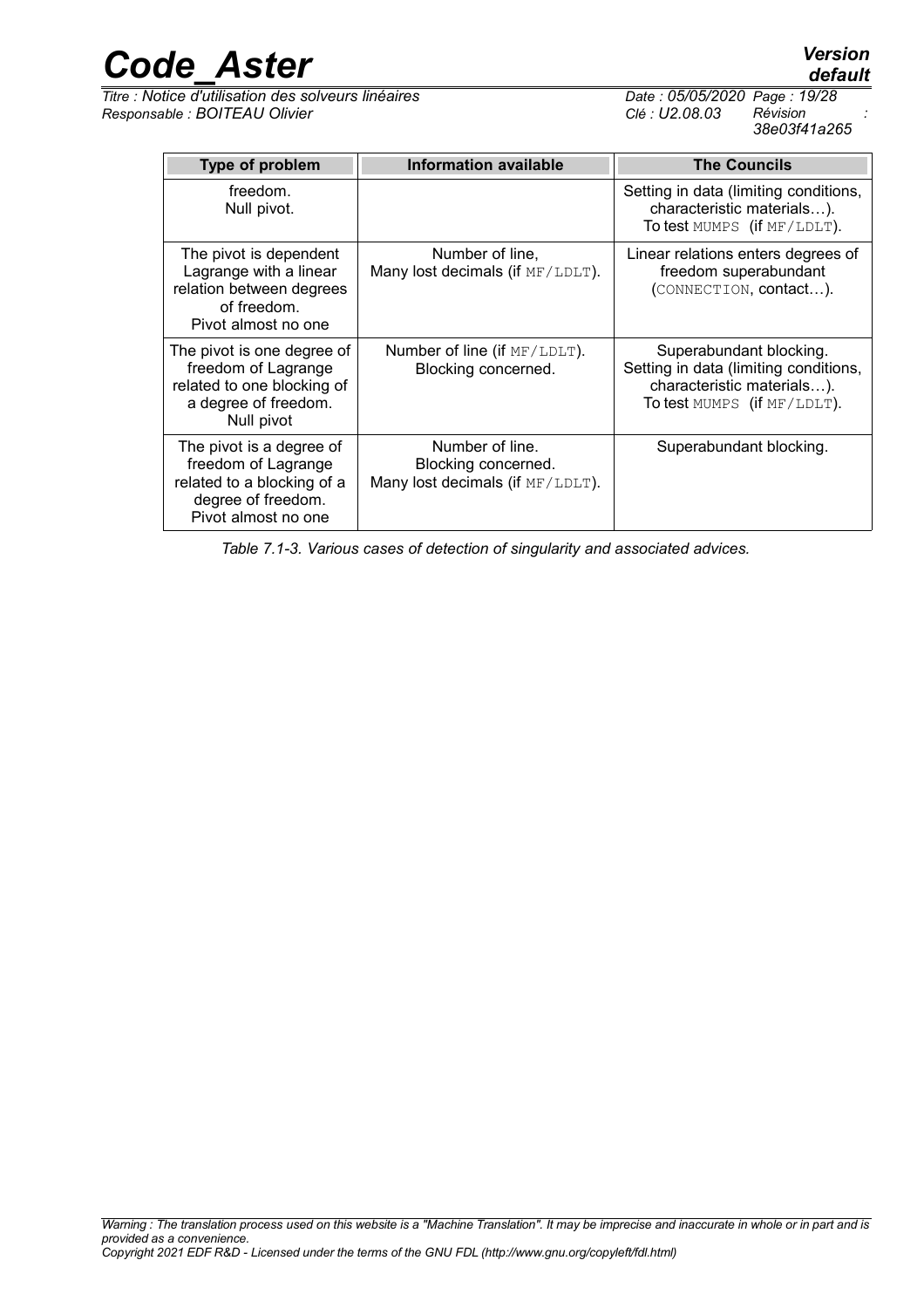freedom of Lagrange related to a blocking of a degree of freedom. Pivot almost no one

|          |                                                     | 38e03f41a265                                                                                       |
|----------|-----------------------------------------------------|----------------------------------------------------------------------------------------------------|
|          | Information available                               | <b>The Councils</b>                                                                                |
|          |                                                     | Setting in data (limiting conditions,<br>characteristic materials).<br>To test MUMPS (if MF/LDLT). |
| ıt<br>es | Number of line,<br>Many lost decimals (if MF/LDLT). | Linear relations enters degrees of<br>freedom superabundant<br>(CONNECTION, contact).              |

| Table 7.1-3. Various cases of detection of singularity and associated advices. |  |
|--------------------------------------------------------------------------------|--|
|--------------------------------------------------------------------------------|--|

Blocking concerned. Many lost decimals (if MF/LDLT).

| <b>Code Aster</b>                                                                                                     |                                                     | <b>Version</b><br>default                                                                                                     |
|-----------------------------------------------------------------------------------------------------------------------|-----------------------------------------------------|-------------------------------------------------------------------------------------------------------------------------------|
| Titre : Notice d'utilisation des solveurs linéaires<br>Responsable : BOITEAU Olivier                                  |                                                     | Date: 05/05/2020 Page: 19/28<br>Révision<br>Clé : U2.08.03<br>38e03f41a265                                                    |
| Type of problem                                                                                                       | <b>Information available</b>                        | <b>The Councils</b>                                                                                                           |
| freedom.<br>Null pivot.                                                                                               |                                                     | Setting in data (limiting conditions,<br>characteristic materials).<br>To test MUMPS (if MF/LDLT).                            |
| The pivot is dependent<br>Lagrange with a linear<br>relation between degrees<br>of freedom.<br>Pivot almost no one    | Number of line,<br>Many lost decimals (if MF/LDLT). | Linear relations enters degrees of<br>freedom superabundant<br>(CONNECTION, contact).                                         |
| The pivot is one degree of<br>freedom of Lagrange<br>related to one blocking of<br>a degree of freedom.<br>Null pivot | Number of line (if MF/LDLT).<br>Blocking concerned. | Superabundant blocking.<br>Setting in data (limiting conditions,<br>characteristic materials).<br>To test MUMPS (if MF/LDLT). |
| The pivot is a degree of                                                                                              | Number of line.                                     | Superabundant blocking.                                                                                                       |

## *default*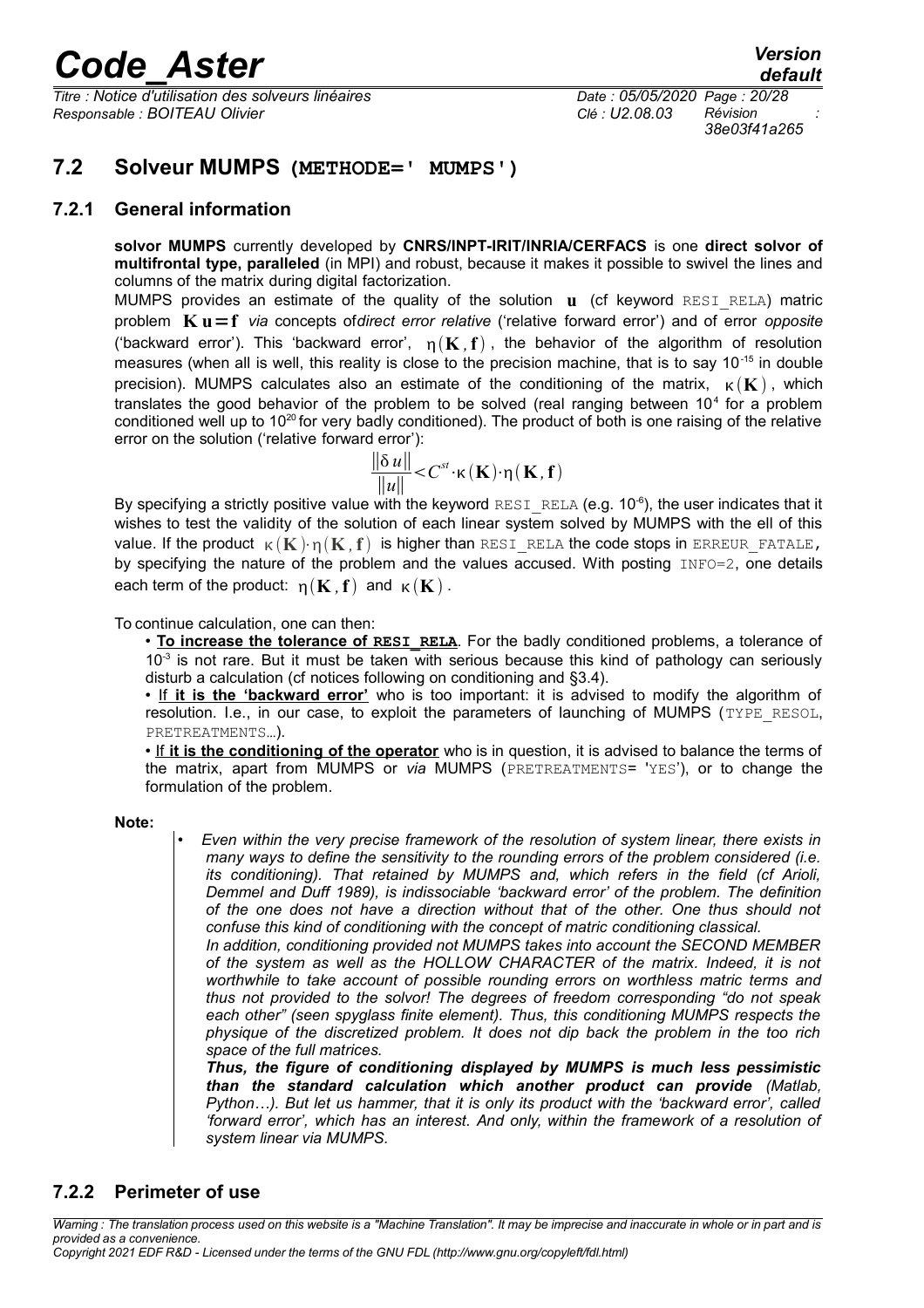*Titre : Notice d'utilisation des solveurs linéaires Date : 05/05/2020 Page : 20/28 Responsable : BOITEAU Olivier Clé : U2.08.03 Révision :*

*38e03f41a265*

### <span id="page-19-2"></span>**7.2 Solveur MUMPS (METHODE=' MUMPS')**

### **7.2.1 General information**

<span id="page-19-1"></span>**solvor MUMPS** currently developed by **CNRS/INPT-IRIT/INRIA/CERFACS** is one **direct solvor of multifrontal type, paralleled** (in MPI) and robust, because it makes it possible to swivel the lines and columns of the matrix during digital factorization.

MUMPS provides an estimate of the quality of the solution **u** (cf keyword RESI\_RELA) matric problem **K u**=**f** *via* concepts of*direct error relative* ('relative forward error') and of error *opposite* ('backward error'). This 'backward error',  $p(K, f)$ , the behavior of the algorithm of resolution measures (when all is well, this reality is close to the precision machine, that is to say 10-15 in double precision). MUMPS calculates also an estimate of the conditioning of the matrix,  $\kappa(K)$ , which translates the good behavior of the problem to be solved (real ranging between  $10<sup>4</sup>$  for a problem conditioned well up to  $10^{20}$  for very badly conditioned). The product of both is one raising of the relative error on the solution ('relative forward error'):

$$
\frac{\|\delta u\|}{\|u\|} < C^{st} \cdot \kappa(\mathbf{K}) \cdot \eta(\mathbf{K}, \mathbf{f})
$$

By specifying a strictly positive value with the keyword RESI\_RELA (e.g. 10 $^6$ ), the user indicates that it wishes to test the validity of the solution of each linear system solved by MUMPS with the ell of this value. If the product  $\kappa(K) \cdot n(K, f)$  is higher than RESI\_RELA the code stops in ERREUR\_FATALE, by specifying the nature of the problem and the values accused. With posting INFO=2, one details each term of the product:  $p(K, f)$  and  $\kappa(K)$ .

To continue calculation, one can then:

• **To increase the tolerance of RESI RELA**. For the badly conditioned problems, a tolerance of  $10<sup>-3</sup>$  is not rare. But it must be taken with serious because this kind of pathology can seriously disturb a calculation (cf notices following on conditioning and §3.4).

•If **it is the 'backward error'** who is too important: it is advised to modify the algorithm of resolution. I.e., in our case, to exploit the parameters of launching of MUMPS (TYPE RESOL, PRETREATMENTS…).

•If **it is the conditioning of the operator** who is in question, it is advised to balance the terms of the matrix, apart from MUMPS or *via* MUMPS (PRETREATMENTS= 'YES'), or to change the formulation of the problem.

**Note:**

• *Even within the very precise framework of the resolution of system linear, there exists in many ways to define the sensitivity to the rounding errors of the problem considered (i.e. its conditioning). That retained by MUMPS and, which refers in the field (cf Arioli, Demmel and Duff 1989), is indissociable 'backward error' of the problem. The definition of the one does not have a direction without that of the other. One thus should not confuse this kind of conditioning with the concept of matric conditioning classical.* 

*In addition, conditioning provided not MUMPS takes into account the SECOND MEMBER of the system as well as the HOLLOW CHARACTER of the matrix. Indeed, it is not worthwhile to take account of possible rounding errors on worthless matric terms and thus not provided to the solvor! The degrees of freedom corresponding "do not speak each other" (seen spyglass finite element). Thus, this conditioning MUMPS respects the physique of the discretized problem. It does not dip back the problem in the too rich space of the full matrices.*

*Thus, the figure of conditioning displayed by MUMPS is much less pessimistic than the standard calculation which another product can provide (Matlab, Python…). But let us hammer, that it is only its product with the 'backward error', called 'forward error', which has an interest. And only, within the framework of a resolution of system linear via MUMPS.*

### <span id="page-19-0"></span>**7.2.2 Perimeter of use**

*Warning : The translation process used on this website is a "Machine Translation". It may be imprecise and inaccurate in whole or in part and is provided as a convenience.*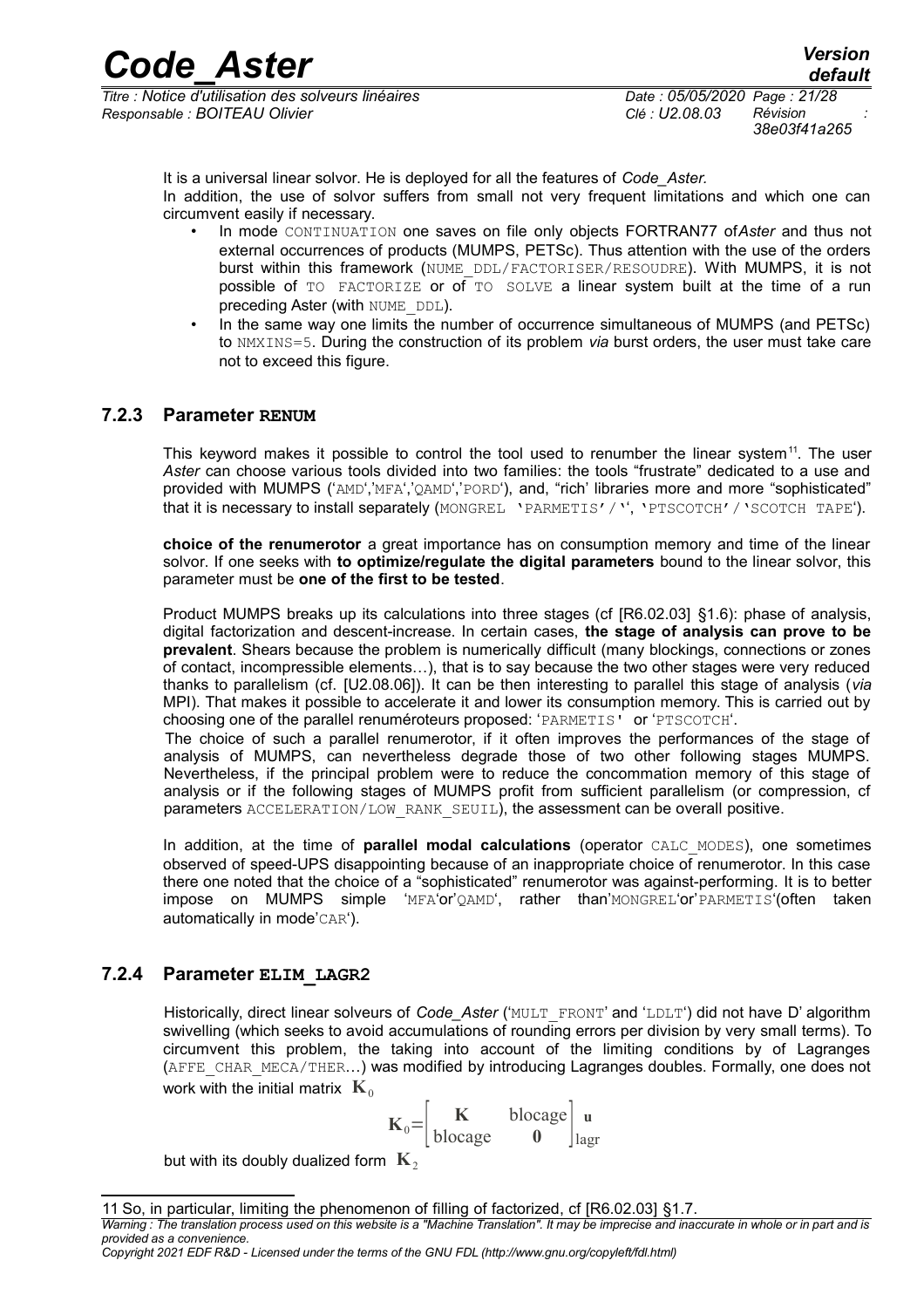*Titre : Notice d'utilisation des solveurs linéaires Date : 05/05/2020 Page : 21/28 Responsable : BOITEAU Olivier Clé : U2.08.03 Révision :*

It is a universal linear solvor. He is deployed for all the features of *Code\_Aster.* In addition, the use of solvor suffers from small not very frequent limitations and which one can circumvent easily if necessary.

- In mode CONTINUATION one saves on file only objects FORTRAN77 of*Aster* and thus not external occurrences of products (MUMPS, PETSc). Thus attention with the use of the orders burst within this framework (NUME\_DDL/FACTORISER/RESOUDRE). With MUMPS, it is not possible of TO FACTORIZE or of TO SOLVE a linear system built at the time of a run preceding Aster (with NUME\_DDL).
- In the same way one limits the number of occurrence simultaneous of MUMPS (and PETSc) to NMXINS=5. During the construction of its problem *via* burst orders, the user must take care not to exceed this figure.

### **7.2.3 Parameter RENUM**

<span id="page-20-1"></span>This keyword makes it possible to control the tool used to renumber the linear system<sup>[11](#page-20-2)</sup>. The user *Aster* can choose various tools divided into two families: the tools "frustrate" dedicated to a use and provided with MUMPS ('AMD','MFA','QAMD','PORD'), and, "rich' libraries more and more "sophisticated" that it is necessary to install separately (MONGREL 'PARMETIS'/'', 'PTSCOTCH'/'SCOTCH TAPE').

**choice of the renumerotor** a great importance has on consumption memory and time of the linear solvor. If one seeks with **to optimize/regulate the digital parameters** bound to the linear solvor, this parameter must be **one of the first to be tested**.

Product MUMPS breaks up its calculations into three stages (cf [R6.02.03] §1.6): phase of analysis, digital factorization and descent-increase. In certain cases, **the stage of analysis can prove to be prevalent**. Shears because the problem is numerically difficult (many blockings, connections or zones of contact, incompressible elements…), that is to say because the two other stages were very reduced thanks to parallelism (cf. [U2.08.06]). It can be then interesting to parallel this stage of analysis (*via* MPI). That makes it possible to accelerate it and lower its consumption memory. This is carried out by choosing one of the parallel renuméroteurs proposed: 'PARMETIS' or 'PTSCOTCH'.

The choice of such a parallel renumerotor, if it often improves the performances of the stage of analysis of MUMPS, can nevertheless degrade those of two other following stages MUMPS. Nevertheless, if the principal problem were to reduce the concommation memory of this stage of analysis or if the following stages of MUMPS profit from sufficient parallelism (or compression, cf parameters ACCELERATION/LOW\_RANK\_SEUIL), the assessment can be overall positive.

In addition, at the time of **parallel modal calculations** (operator CALC\_MODES), one sometimes observed of speed-UPS disappointing because of an inappropriate choice of renumerotor. In this case there one noted that the choice of a "sophisticated" renumerotor was against-performing. It is to better impose on MUMPS simple 'MFA'or'QAMD', rather than'MONGREL'or'PARMETIS'(often taken automatically in mode'CAR').

### **7.2.4 Parameter ELIM\_LAGR2**

<span id="page-20-0"></span>Historically, direct linear solveurs of *Code\_Aster* ('MULT\_FRONT' and 'LDLT') did not have D' algorithm swivelling (which seeks to avoid accumulations of rounding errors per division by very small terms). To circumvent this problem, the taking into account of the limiting conditions by of Lagranges (AFFE\_CHAR\_MECA/THER...) was modified by introducing Lagranges doubles. Formally, one does not work with the initial matrix  $\mathbf{K}_{0}$ 

$$
\mathbf{K}_0 = \begin{bmatrix} \mathbf{K} & \mathbf{block}_0 \\ \mathbf{block}_0 & \mathbf{0} \end{bmatrix} \begin{bmatrix} \mathbf{u} \\ \mathbf{u} \end{bmatrix}
$$

but with its doubly dualized form  $\mathbf{K}_2$ 

<span id="page-20-2"></span><sup>11</sup> So, in particular, limiting the phenomenon of filling of factorized, cf [R6.02.03] §1.7.

*Warning : The translation process used on this website is a "Machine Translation". It may be imprecise and inaccurate in whole or in part and is provided as a convenience.*

*Copyright 2021 EDF R&D - Licensed under the terms of the GNU FDL (http://www.gnu.org/copyleft/fdl.html)*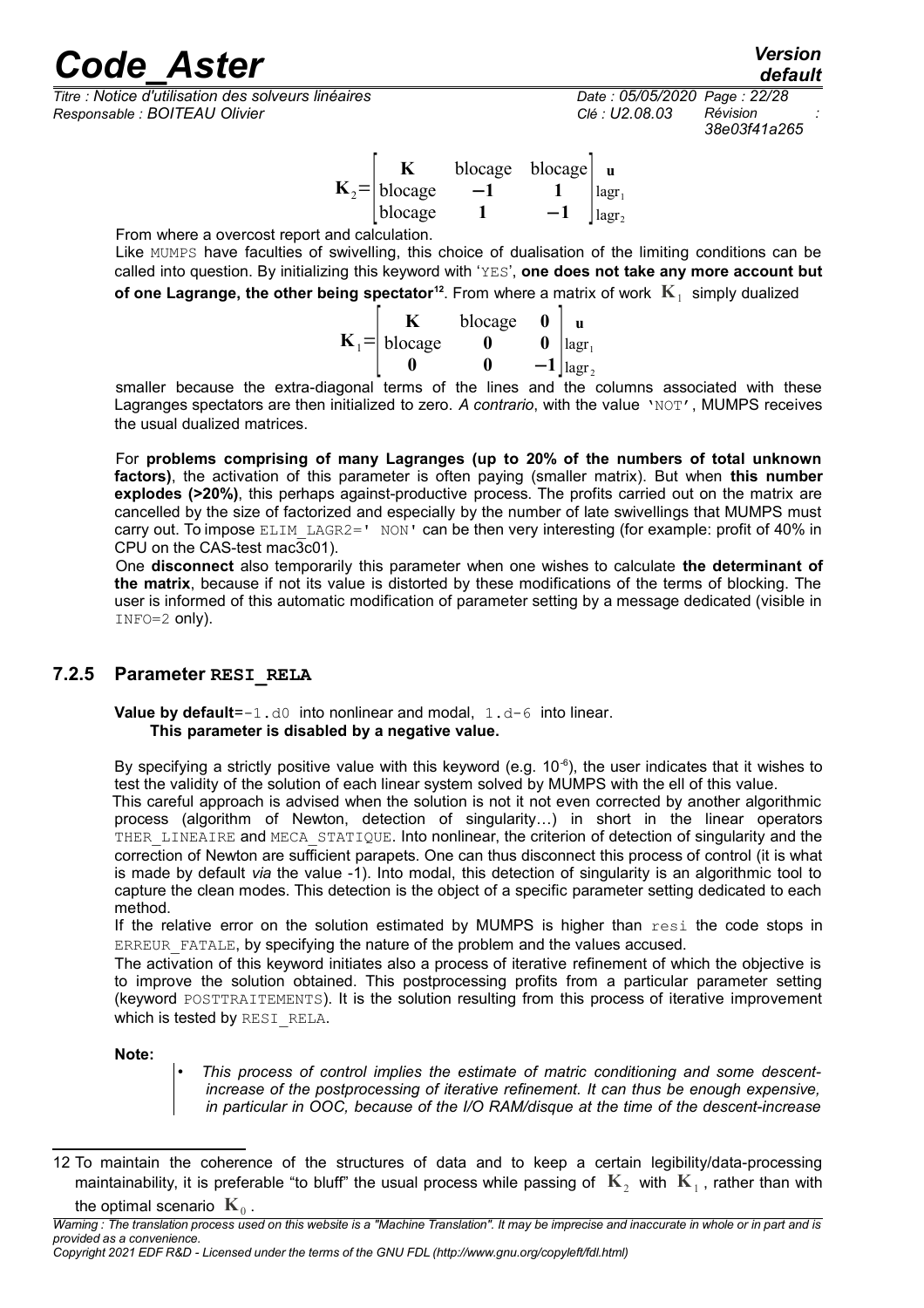*<i>Titre : Notice d'utilisation des solveurs linéaires Responsable : BOITEAU Olivier Clé : U2.08.03 Révision :*

*38e03f41a265*

|                       | blocage | blocage $ $ u |                               |
|-----------------------|---------|---------------|-------------------------------|
| $K_2 = \vert$ blocage |         |               | lagr <sub>1</sub>             |
| blocage               |         |               | $\lceil \text{lagr}_2 \rceil$ |
|                       |         |               |                               |

From where a overcost report and calculation.

Like MUMPS have faculties of swivelling, this choice of dualisation of the limiting conditions can be called into question. By initializing this keyword with 'YES', **one does not take any more account but of one Lagrange, the other being spectator**<sup>[12](#page-21-1)</sup>. From where a matrix of work  $K_1$  simply dualized

|                              | blocage |   | $\mathbf u$              |
|------------------------------|---------|---|--------------------------|
| $\mathbf{K}_{1}$ =   blocage |         | 0 | $\vert \text{lagr}_1$    |
|                              |         |   | $-1$   lagr <sub>2</sub> |

smaller because the extra-diagonal terms of the lines and the columns associated with these Lagranges spectators are then initialized to zero. A contrario, with the value 'NOT', MUMPS receives the usual dualized matrices.

For **problems comprising of many Lagranges (up to 20% of the numbers of total unknown factors)**, the activation of this parameter is often paying (smaller matrix). But when **this number explodes (>20%)**, this perhaps against-productive process. The profits carried out on the matrix are cancelled by the size of factorized and especially by the number of late swivellings that MUMPS must carry out. To impose ELIM LAGR2=' NON' can be then very interesting (for example: profit of 40% in CPU on the CAS-test mac3c01).

One **disconnect** also temporarily this parameter when one wishes to calculate **the determinant of the matrix**, because if not its value is distorted by these modifications of the terms of blocking. The user is informed of this automatic modification of parameter setting by a message dedicated (visible in INFO=2 only).

### **7.2.5 Parameter RESI\_RELA**

<span id="page-21-0"></span>**Value by default**=-1.d0 into nonlinear and modal, 1.d-6 into linear. **This parameter is disabled by a negative value.**

By specifying a strictly positive value with this keyword (e.g.  $10^{-6}$ ), the user indicates that it wishes to test the validity of the solution of each linear system solved by MUMPS with the ell of this value.

This careful approach is advised when the solution is not it not even corrected by another algorithmic process (algorithm of Newton, detection of singularity…) in short in the linear operators THER LINEAIRE and MECA STATIQUE. Into nonlinear, the criterion of detection of singularity and the correction of Newton are sufficient parapets. One can thus disconnect this process of control (it is what is made by default *via* the value -1). Into modal, this detection of singularity is an algorithmic tool to capture the clean modes. This detection is the object of a specific parameter setting dedicated to each method.

If the relative error on the solution estimated by MUMPS is higher than resi the code stops in ERREUR FATALE, by specifying the nature of the problem and the values accused.

The activation of this keyword initiates also a process of iterative refinement of which the objective is to improve the solution obtained. This postprocessing profits from a particular parameter setting (keyword POSTTRAITEMENTS). It is the solution resulting from this process of iterative improvement which is tested by RESI\_RELA.

#### **Note:**

• *This process of control implies the estimate of matric conditioning and some descentincrease of the postprocessing of iterative refinement. It can thus be enough expensive, in particular in OOC, because of the I/O RAM/disque at the time of the descent-increase*

<span id="page-21-1"></span><sup>12</sup> To maintain the coherence of the structures of data and to keep a certain legibility/data-processing maintainability, it is preferable "to bluff" the usual process while passing of  $\mathbf{K}_2$  with  $\mathbf{K}_1$ , rather than with the optimal scenario  $\mathbf{K}_0$  .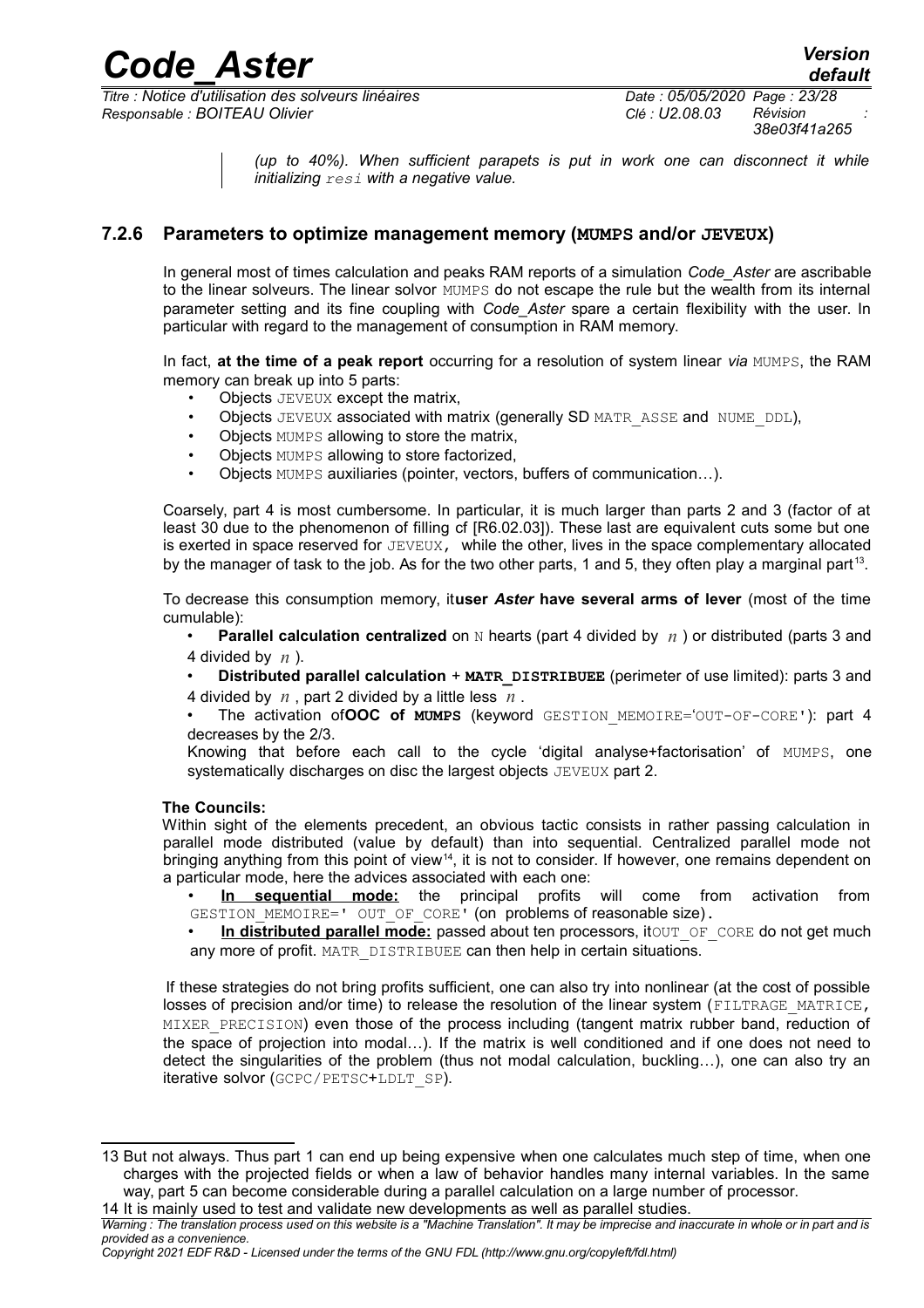*Titre : Notice d'utilisation des solveurs linéaires Date : 05/05/2020 Page : 23/28 Responsable : BOITEAU Olivier Clé : U2.08.03 Révision :*

*(up to 40%). When sufficient parapets is put in work one can disconnect it while initializing resi with a negative value.*

### **7.2.6 Parameters to optimize management memory (MUMPS and/or JEVEUX)**

<span id="page-22-0"></span>In general most of times calculation and peaks RAM reports of a simulation *Code\_Aster* are ascribable to the linear solveurs. The linear solvor MUMPS do not escape the rule but the wealth from its internal parameter setting and its fine coupling with *Code\_Aster* spare a certain flexibility with the user. In particular with regard to the management of consumption in RAM memory.

In fact, **at the time of a peak report** occurring for a resolution of system linear *via* MUMPS, the RAM memory can break up into 5 parts:

- **Objects JEVEUX except the matrix,**
- Objects JEVEUX associated with matrix (generally SD MATR\_ASSE and NUME\_DDL),
- Objects MUMPS allowing to store the matrix.
- Objects MUMPS allowing to store factorized,
- Objects MUMPS auxiliaries (pointer, vectors, buffers of communication...).

Coarsely, part 4 is most cumbersome. In particular, it is much larger than parts 2 and 3 (factor of at least 30 due to the phenomenon of filling cf [R6.02.03]). These last are equivalent cuts some but one is exerted in space reserved for  $JEVEUX$ , while the other, lives in the space complementary allocated by the manager of task to the job. As for the two other parts, 1 and 5, they often play a marginal part<sup>[13](#page-22-1)</sup>.

To decrease this consumption memory, it**user** *Aster* **have several arms of lever** (most of the time cumulable):

**Parallel calculation centralized** on N hearts (part 4 divided by  $n$ ) or distributed (parts 3 and 4 divided by *n* ).

• **Distributed parallel calculation** + **MATR\_DISTRIBUEE** (perimeter of use limited): parts 3 and 4 divided by *n* , part 2 divided by a little less *n* .

• The activation of**OOC of MUMPS** (keyword GESTION\_MEMOIRE='OUT-OF-CORE'): part 4 decreases by the 2/3.

Knowing that before each call to the cycle 'digital analyse+factorisation' of MUMPS, one systematically discharges on disc the largest objects JEVEUX part 2.

#### **The Councils:**

Within sight of the elements precedent, an obvious tactic consists in rather passing calculation in parallel mode distributed (value by default) than into sequential. Centralized parallel mode not bringing anything from this point of view<sup>[14](#page-22-2)</sup>, it is not to consider. If however, one remains dependent on a particular mode, here the advices associated with each one:

- **In sequential mode:** the principal profits will come from activation from GESTION MEMOIRE=' OUT OF CORE' (on problems of reasonable size).
- In distributed parallel mode: passed about ten processors, itour OF CORE do not get much any more of profit. MATR DISTRIBUEE can then help in certain situations.

If these strategies do not bring profits sufficient, one can also try into nonlinear (at the cost of possible losses of precision and/or time) to release the resolution of the linear system (FILTRAGE\_MATRICE, MIXER PRECISION) even those of the process including (tangent matrix rubber band, reduction of the space of projection into modal…). If the matrix is well conditioned and if one does not need to detect the singularities of the problem (thus not modal calculation, buckling…), one can also try an iterative solvor (GCPC/PETSC+LDLT\_SP).

<span id="page-22-1"></span><sup>13</sup> But not always. Thus part 1 can end up being expensive when one calculates much step of time, when one charges with the projected fields or when a law of behavior handles many internal variables. In the same way, part 5 can become considerable during a parallel calculation on a large number of processor.

<span id="page-22-2"></span><sup>14</sup> It is mainly used to test and validate new developments as well as parallel studies.

*Warning : The translation process used on this website is a "Machine Translation". It may be imprecise and inaccurate in whole or in part and is provided as a convenience.*

*Copyright 2021 EDF R&D - Licensed under the terms of the GNU FDL (http://www.gnu.org/copyleft/fdl.html)*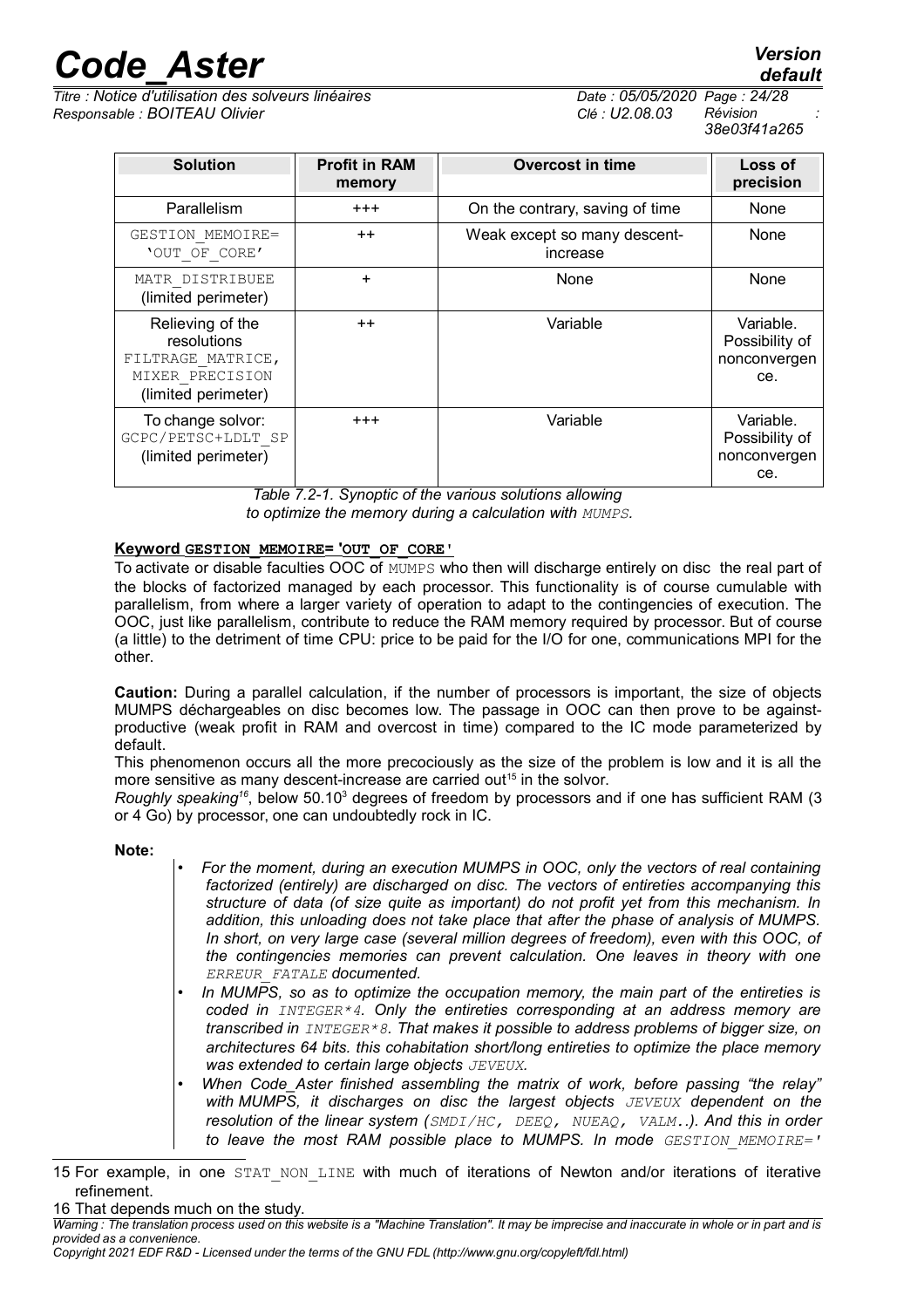*Titre : Notice d'utilisation des solveurs linéaires Date : 05/05/2020 Page : 24/28 Responsable : BOITEAU Olivier Clé : U2.08.03 Révision :*

*38e03f41a265*

| <b>Solution</b>                                                                                | <b>Profit in RAM</b><br>memory | <b>Overcost in time</b>                  | Loss of<br>precision                               |
|------------------------------------------------------------------------------------------------|--------------------------------|------------------------------------------|----------------------------------------------------|
| Parallelism                                                                                    | $+ + +$                        | On the contrary, saving of time          | None                                               |
| GESTION MEMOIRE=<br>'OUT OF CORE'                                                              | $++$                           | Weak except so many descent-<br>increase | None                                               |
| MATR DISTRIBUEE<br>(limited perimeter)                                                         | $\ddot{}$                      | None                                     | None                                               |
| Relieving of the<br>resolutions<br>FILTRAGE MATRICE,<br>MIXER PRECISION<br>(limited perimeter) | $++$                           | Variable                                 | Variable.<br>Possibility of<br>nonconvergen<br>ce. |
| To change solvor:<br>GCPC/PETSC+LDLT SP<br>(limited perimeter)                                 | $+ + +$                        | Variable                                 | Variable.<br>Possibility of<br>nonconvergen<br>ce. |

*Table 7.2-1. Synoptic of the various solutions allowing to optimize the memory during a calculation with MUMPS.*

#### **Keyword GESTION\_MEMOIRE = 'OUT\_OF\_CORE'**

To activate or disable faculties OOC of MUMPS who then will discharge entirely on disc the real part of the blocks of factorized managed by each processor. This functionality is of course cumulable with parallelism, from where a larger variety of operation to adapt to the contingencies of execution. The OOC, just like parallelism, contribute to reduce the RAM memory required by processor. But of course (a little) to the detriment of time CPU: price to be paid for the I/O for one, communications MPI for the other.

**Caution:** During a parallel calculation, if the number of processors is important, the size of objects MUMPS déchargeables on disc becomes low. The passage in OOC can then prove to be againstproductive (weak profit in RAM and overcost in time) compared to the IC mode parameterized by default.

This phenomenon occurs all the more precociously as the size of the problem is low and it is all the more sensitive as many descent-increase are carried out<sup>[15](#page-23-0)</sup> in the solvor.

Roughly speaking<sup>[16](#page-23-1)</sup>, below 50.10<sup>3</sup> degrees of freedom by processors and if one has sufficient RAM (3 or 4 Go) by processor, one can undoubtedly rock in IC.

#### **Note:**

- *For the moment, during an execution MUMPS in OOC, only the vectors of real containing factorized (entirely) are discharged on disc. The vectors of entireties accompanying this structure of data (of size quite as important) do not profit yet from this mechanism. In addition, this unloading does not take place that after the phase of analysis of MUMPS. In short, on very large case (several million degrees of freedom), even with this OOC, of the contingencies memories can prevent calculation. One leaves in theory with one ERREUR\_FATALE documented.*
- *In MUMPS, so as to optimize the occupation memory, the main part of the entireties is coded in INTEGER\*4. Only the entireties corresponding at an address memory are transcribed in INTEGER\*8. That makes it possible to address problems of bigger size, on architectures 64 bits. this cohabitation short/long entireties to optimize the place memory was extended to certain large objects JEVEUX.*
- *When Code\_Aster finished assembling the matrix of work, before passing "the relay" with MUMPS, it discharges on disc the largest objects JEVEUX dependent on the resolution of the linear system (SMDI/HC, DEEQ, NUEAQ, VALM..). And this in order to leave the most RAM possible place to MUMPS. In mode GESTION\_MEMOIRE='*

<span id="page-23-1"></span>16 That depends much on the study.

<span id="page-23-0"></span><sup>15</sup> For example, in one STAT NON LINE with much of iterations of Newton and/or iterations of iterative refinement.

*Warning : The translation process used on this website is a "Machine Translation". It may be imprecise and inaccurate in whole or in part and is provided as a convenience.*

*Copyright 2021 EDF R&D - Licensed under the terms of the GNU FDL (http://www.gnu.org/copyleft/fdl.html)*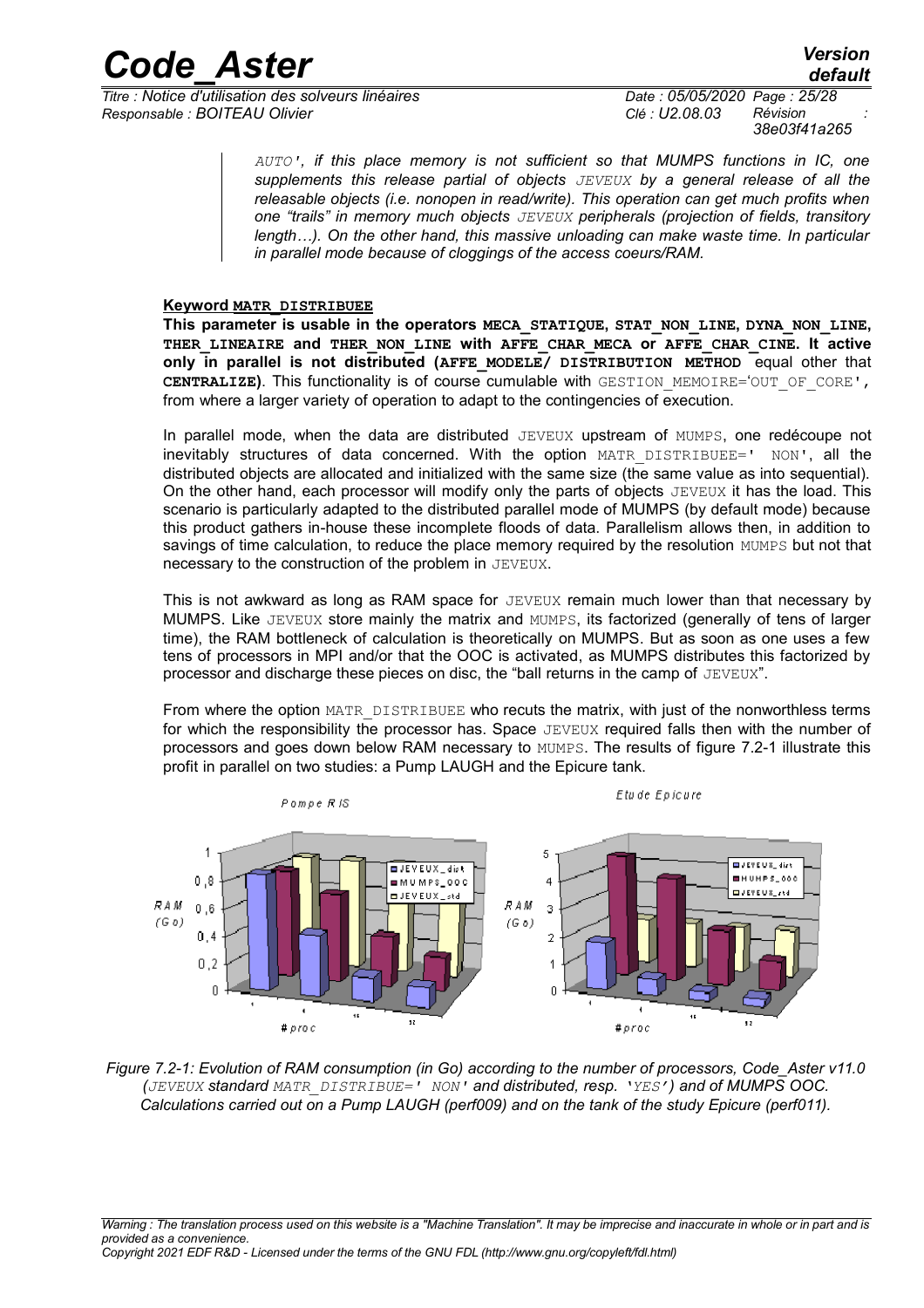*Titre : Notice d'utilisation des solveurs linéaires Date : 05/05/2020 Page : 25/28 Responsable : BOITEAU Olivier Clé : U2.08.03 Révision :*

*38e03f41a265*

*AUTO', if this place memory is not sufficient so that MUMPS functions in IC, one supplements this release partial of objects JEVEUX by a general release of all the releasable objects (i.e. nonopen in read/write). This operation can get much profits when one "trails" in memory much objects JEVEUX peripherals (projection of fields, transitory length…). On the other hand, this massive unloading can make waste time. In particular in parallel mode because of cloggings of the access coeurs/RAM.*

#### **Keyword MATR\_DISTRIBUEE**

**This parameter is usable in the operators MECA\_STATIQUE, STAT\_NON\_LINE, DYNA\_NON\_LINE, THER\_LINEAIRE and THER\_NON\_LINE with AFFE\_CHAR\_MECA or AFFE\_CHAR\_CINE. It active only in parallel is not distributed (AFFE\_MODELE/ DISTRIBUTION METHOD** equal other that **CENTRALIZE)**. This functionality is of course cumulable with GESTION\_MEMOIRE='OUT\_OF\_CORE', from where a larger variety of operation to adapt to the contingencies of execution.

In parallel mode, when the data are distributed JEVEUX upstream of MUMPS, one redécoupe not inevitably structures of data concerned. With the option MATR DISTRIBUEE=' NON', all the distributed objects are allocated and initialized with the same size (the same value as into sequential). On the other hand, each processor will modify only the parts of objects  $JEVEUX$  it has the load. This scenario is particularly adapted to the distributed parallel mode of MUMPS (by default mode) because this product gathers in-house these incomplete floods of data. Parallelism allows then, in addition to savings of time calculation, to reduce the place memory required by the resolution MUMPS but not that necessary to the construction of the problem in JEVEUX.

This is not awkward as long as RAM space for JEVEUX remain much lower than that necessary by MUMPS. Like JEVEUX store mainly the matrix and MUMPS, its factorized (generally of tens of larger time), the RAM bottleneck of calculation is theoretically on MUMPS. But as soon as one uses a few tens of processors in MPI and/or that the OOC is activated, as MUMPS distributes this factorized by processor and discharge these pieces on disc, the "ball returns in the camp of  $JEVEUX"$ .

From where the option MATR DISTRIBUEE who recuts the matrix, with just of the nonworthless terms for which the responsibility the processor has. Space JEVEUX required falls then with the number of processors and goes down below RAM necessary to MUMPS. The results of figure 7.2-1 illustrate this profit in parallel on two studies: a Pump LAUGH and the Epicure tank.



*Figure 7.2-1: Evolution of RAM consumption (in Go) according to the number of processors, Code\_Aster v11.0 (JEVEUX standard MATR\_DISTRIBUE=' NON' and distributed, resp. 'YES') and of MUMPS OOC. Calculations carried out on a Pump LAUGH (perf009) and on the tank of the study Epicure (perf011).*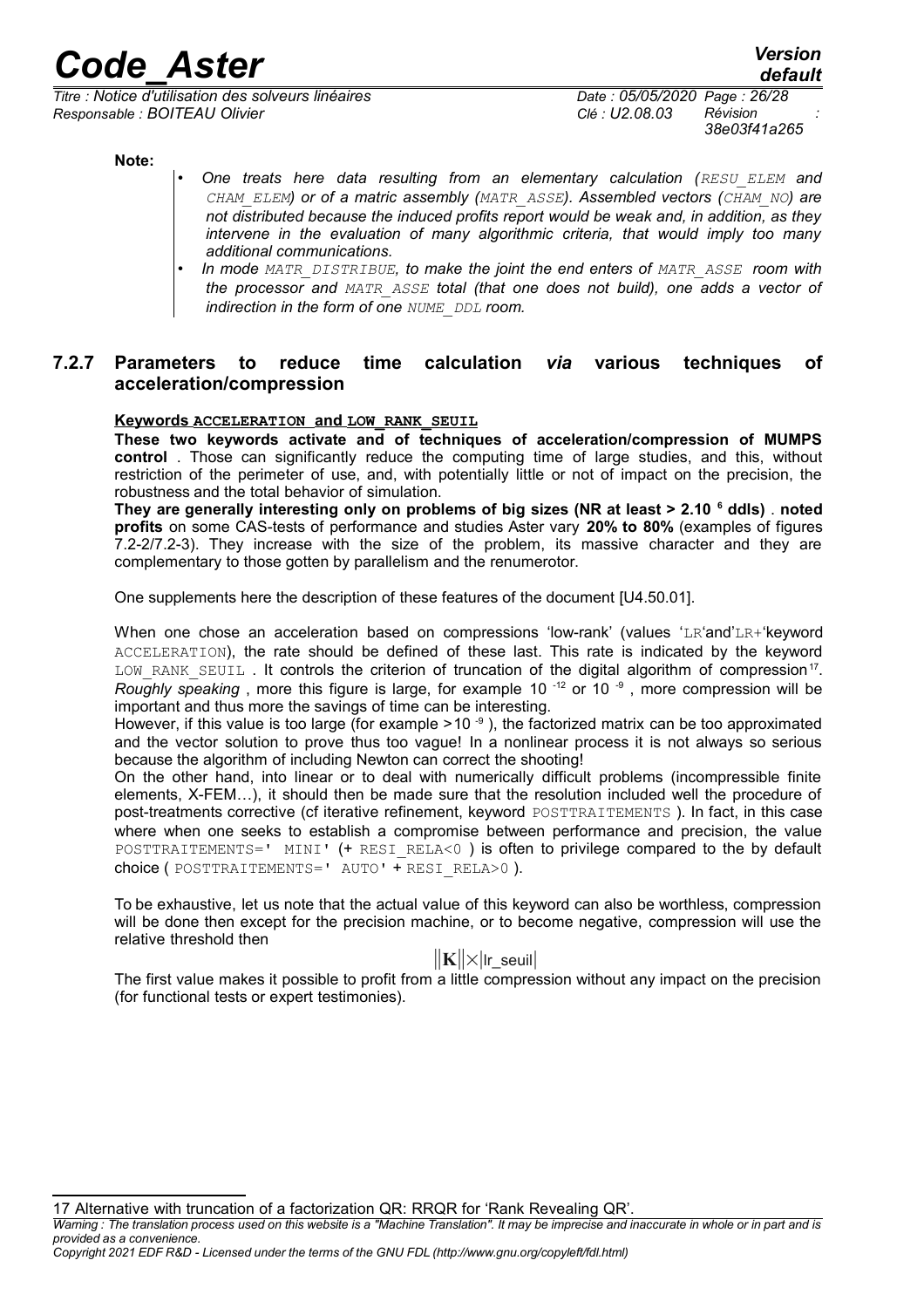*Titre : Notice d'utilisation des solveurs linéaires Date : 05/05/2020 Page : 26/28 Responsable : BOITEAU Olivier Clé : U2.08.03 Révision :*

*38e03f41a265*

*default*

**Note:**

- *One treats here data resulting from an elementary calculation (RESU\_ELEM and CHAM\_ELEM) or of a matric assembly (MATR\_ASSE). Assembled vectors (CHAM\_NO) are not distributed because the induced profits report would be weak and, in addition, as they intervene in the evaluation of many algorithmic criteria, that would imply too many additional communications.*
	- *In mode MATR\_DISTRIBUE, to make the joint the end enters of MATR\_ASSE room with the processor and MATR\_ASSE total (that one does not build), one adds a vector of indirection in the form of one NUME\_DDL room.*

### **7.2.7 Parameters to reduce time calculation** *via* **various techniques of acceleration/compression**

#### <span id="page-25-0"></span> **Keywords ACCELERATION andLOW\_RANK\_SEUIL**

**These two keywords activate and of techniques of acceleration/compression of MUMPS control** . Those can significantly reduce the computing time of large studies, and this, without restriction of the perimeter of use, and, with potentially little or not of impact on the precision, the robustness and the total behavior of simulation.

**They are generally interesting only on problems of big sizes (NR at least > 2.10 <sup>6</sup> ddls)** . **noted profits** on some CAS-tests of performance and studies Aster vary **20% to 80%** (examples of figures 7.2-2/7.2-3). They increase with the size of the problem, its massive character and they are complementary to those gotten by parallelism and the renumerotor.

One supplements here the description of these features of the document [U4.50.01].

When one chose an acceleration based on compressions 'low-rank' (values 'LR'and'LR+'keyword ACCELERATION), the rate should be defined of these last. This rate is indicated by the keyword LOW\_RANK\_SEUIL. It controls the criterion of truncation of the digital algorithm of compression<sup>[17](#page-25-1)</sup>. *Roughly speaking*, more this figure is large, for example 10<sup>-12</sup> or 10<sup>-9</sup>, more compression will be important and thus more the savings of time can be interesting.

However, if this value is too large (for example  $>10^{-9}$  ), the factorized matrix can be too approximated and the vector solution to prove thus too vague! In a nonlinear process it is not always so serious because the algorithm of including Newton can correct the shooting!

On the other hand, into linear or to deal with numerically difficult problems (incompressible finite elements, X-FEM…), it should then be made sure that the resolution included well the procedure of post-treatments corrective (cf iterative refinement, keyword POSTTRAITEMENTS ). In fact, in this case where when one seeks to establish a compromise between performance and precision, the value POSTTRAITEMENTS=' MINI' (+ RESI\_RELA<0) is often to privilege compared to the by default choice ( POSTTRAITEMENTS=' AUTO' + RESI\_RELA>0 ).

To be exhaustive, let us note that the actual value of this keyword can also be worthless, compression will be done then except for the precision machine, or to become negative, compression will use the relative threshold then

### ∥**K**∥×∣lr\_seuil∣

The first value makes it possible to profit from a little compression without any impact on the precision (for functional tests or expert testimonies).

*Warning : The translation process used on this website is a "Machine Translation". It may be imprecise and inaccurate in whole or in part and is provided as a convenience.*

*Copyright 2021 EDF R&D - Licensed under the terms of the GNU FDL (http://www.gnu.org/copyleft/fdl.html)*

<span id="page-25-1"></span><sup>17</sup> Alternative with truncation of a factorization QR: RRQR for 'Rank Revealing QR'.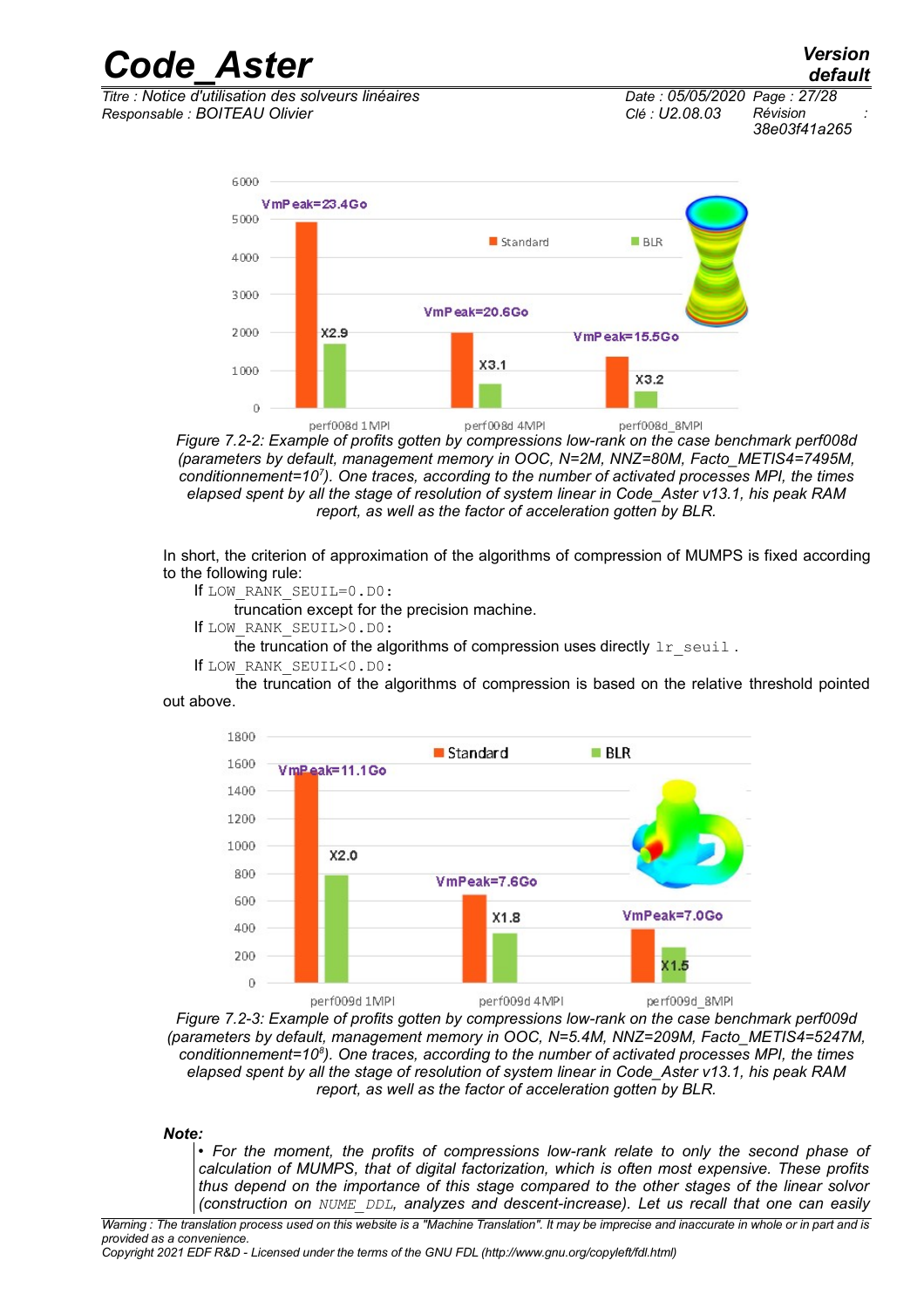*Code\_Aster Version Titre : Notice d'utilisation des solveurs linéaires Date : 05/05/2020 Page : 27/28*

*Responsable : BOITEAU Olivier Clé : U2.08.03 Révision : 38e03f41a265*

*default*



*Figure 7.2-2: Example of profits gotten by compressions low-rank on the case benchmark perf008d (parameters by default, management memory in OOC, N=2M, NNZ=80M, Facto\_METIS4=7495M, conditionnement=10<sup>7</sup> ). One traces, according to the number of activated processes MPI, the times elapsed spent by all the stage of resolution of system linear in Code\_Aster v13.1, his peak RAM report, as well as the factor of acceleration gotten by BLR.*

In short, the criterion of approximation of the algorithms of compression of MUMPS is fixed according to the following rule:

If LOW\_RANK\_SEUIL=0.D0:

truncation except for the precision machine.

If LOW\_RANK\_SEUIL>0.D0:

the truncation of the algorithms of compression uses directly  $1r$  seuil.

If LOW\_RANK\_SEUIL<0.D0:

the truncation of the algorithms of compression is based on the relative threshold pointed out above.



*Figure 7.2-3: Example of profits gotten by compressions low-rank on the case benchmark perf009d (parameters by default, management memory in OOC, N=5.4M, NNZ=209M, Facto\_METIS4=5247M, conditionnement=10<sup>8</sup> ). One traces, according to the number of activated processes MPI, the times elapsed spent by all the stage of resolution of system linear in Code\_Aster v13.1, his peak RAM report, as well as the factor of acceleration gotten by BLR.*

#### *Note:*

• *For the moment, the profits of compressions low-rank relate to only the second phase of calculation of MUMPS, that of digital factorization, which is often most expensive. These profits thus depend on the importance of this stage compared to the other stages of the linear solvor (construction on NUME\_DDL, analyzes and descent-increase). Let us recall that one can easily*